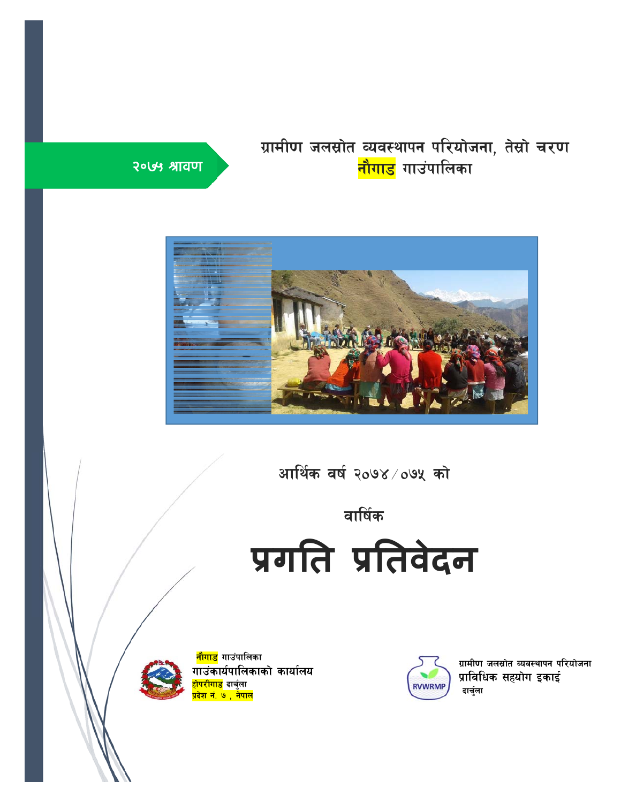#### ग्रामीण जलस्रोत व्यवस्थापन परियोजना, तेस्रो चरण <mark>नौगाड</mark> गाउंपालिका }

# २०७५ ौावण



आर्थिक वर्ष २०७४ $\times$ ०७५ को

# वार्षिक

**प्रगित प्रितवेदन**



<mark>नौगाड</mark> गाउंपालिका गाउंकार्यपालिकाको कार्यालय <mark>होपरीगाड</mark> दार्चुला k|b]z g+= & , g]kfn



ग्रामीण जलस्रोत व्यवस्थापन परियोजना प्राविधिक सहयोग इकाई<br><sup>दार्चुला</sup>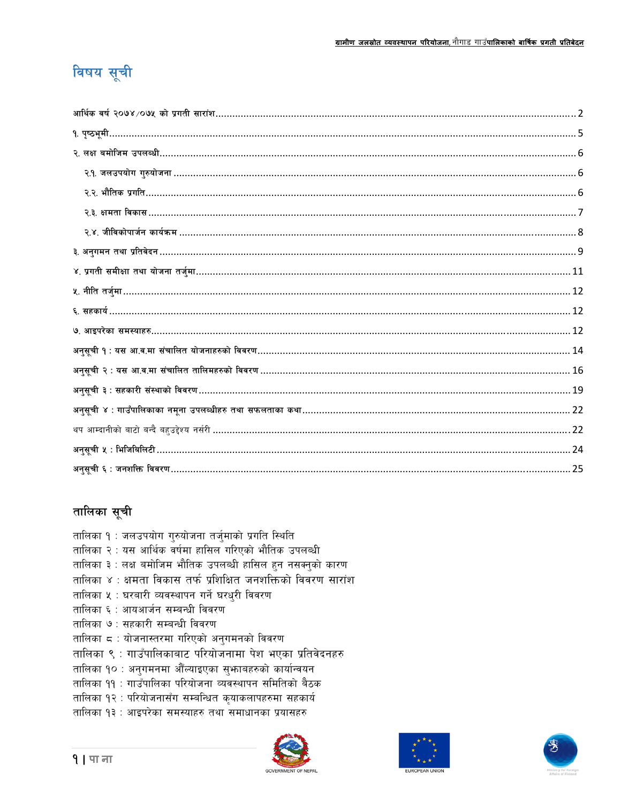# विषय सूची

#### तालिका सूची

- तालिका १ : जलउपयोग गुरुयोजना तर्जुमाको प्रगति स्थिति तालिका २ : यस आर्थिक वर्षमा हासिल गरिएको भौतिक उपलब्धी तालिका ३ : लक्ष बमोजिम भौतिक उपलब्धी हासिल हन नसक्नुको कारण तालिका ४ : क्षमता विकास तर्फ प्रशिक्षित जनशक्तिको विवरण सारांश तालिका ५ : घरबारी व्यवस्थापन गर्ने घरधुरी विवरण तालिका ६ : आयआर्जन सम्बन्धी विवरण तालिका ७ : सहकारी सम्बन्धी विवरण तालिका ८ : योजनास्तरमा गरिएको अनुगमनको विवरण तालिका ९ : गाउँपालिकाबाट परियोजनामा पेश भएका प्रतिवेदनहरु तालिका १० : अनुगमनमा औँल्याइएका सुभाबहरुको कार्यान्वयन तालिका ११ : गाउँपालिका परियोजना व्यवस्थापन समितिको बैठक तालिका १२ : परियोजनासँग सम्बन्धित कृयाकलापहरुमा सहकार्य तालिका १३ : आइपरेका समस्याहरु तथा समाधानका प्रयासहरु
	-



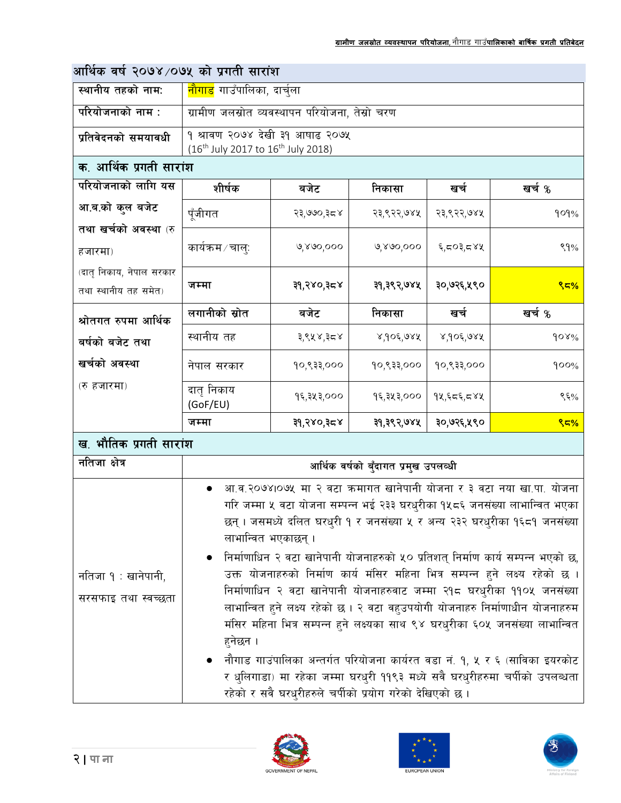| आर्थिक वर्ष २०७४ ⁄०७५ को प्रगती सारांश           |                                                                                                                                                                                                                                                                                                                                                                                                                                                                                                                                                                                                                                                                                                                                                                                                                                                                                                                                                         |                                         |              |               |         |  |  |  |  |
|--------------------------------------------------|---------------------------------------------------------------------------------------------------------------------------------------------------------------------------------------------------------------------------------------------------------------------------------------------------------------------------------------------------------------------------------------------------------------------------------------------------------------------------------------------------------------------------------------------------------------------------------------------------------------------------------------------------------------------------------------------------------------------------------------------------------------------------------------------------------------------------------------------------------------------------------------------------------------------------------------------------------|-----------------------------------------|--------------|---------------|---------|--|--|--|--|
| स्थानीय तहको नाम:                                |                                                                                                                                                                                                                                                                                                                                                                                                                                                                                                                                                                                                                                                                                                                                                                                                                                                                                                                                                         | <mark>नौगाड</mark> गाउँपालिका, दार्चुला |              |               |         |  |  |  |  |
| परियोजनाको नाम :                                 | ग्रामीण जलस्रोत व्यवस्थापन परियोजना, तेस्रो चरण                                                                                                                                                                                                                                                                                                                                                                                                                                                                                                                                                                                                                                                                                                                                                                                                                                                                                                         |                                         |              |               |         |  |  |  |  |
| प्रतिवेदनको समयावधी                              | १ श्रावण २०७४ देखी ३१ आषाढ २०७५<br>(16 <sup>th</sup> July 2017 to 16 <sup>th</sup> July 2018)                                                                                                                                                                                                                                                                                                                                                                                                                                                                                                                                                                                                                                                                                                                                                                                                                                                           |                                         |              |               |         |  |  |  |  |
| क. आर्थिक प्रगती सारांश                          |                                                                                                                                                                                                                                                                                                                                                                                                                                                                                                                                                                                                                                                                                                                                                                                                                                                                                                                                                         |                                         |              |               |         |  |  |  |  |
| परियोजनाको लागि यस                               | शीर्षक                                                                                                                                                                                                                                                                                                                                                                                                                                                                                                                                                                                                                                                                                                                                                                                                                                                                                                                                                  | बजेट                                    | निकासा       | खर्च          | खर्च %  |  |  |  |  |
| आ.ब.को कुल बजेट                                  | पूँजीगत                                                                                                                                                                                                                                                                                                                                                                                                                                                                                                                                                                                                                                                                                                                                                                                                                                                                                                                                                 | २३,७७०,३८४                              | २३,९२२,७४५   | २३,९२२,७४५    | 909%    |  |  |  |  |
| तथा खर्चको अवस्था (रु<br>हजारमा)                 | कार्यक्रम ⁄ चालुः                                                                                                                                                                                                                                                                                                                                                                                                                                                                                                                                                                                                                                                                                                                                                                                                                                                                                                                                       | ७,४७०,०००                               | ७,४७०,०००    | ६,८०३,८४५     | 89%     |  |  |  |  |
| (दातृ निकाय, नेपाल सरकार<br>तथा स्थानीय तह समेत) | जम्मा                                                                                                                                                                                                                                                                                                                                                                                                                                                                                                                                                                                                                                                                                                                                                                                                                                                                                                                                                   | ३१,२४०,३८४                              | ३१,३९२,७४५   | ३०,७२६,५९०    | 85%     |  |  |  |  |
| श्रोतगत रुपमा आर्थिक                             | लगानीको स्रोत                                                                                                                                                                                                                                                                                                                                                                                                                                                                                                                                                                                                                                                                                                                                                                                                                                                                                                                                           | बजेट                                    | निकासा       | खर्च          | खर्च %  |  |  |  |  |
| बर्षको बजेट तथा                                  | स्थानीय तह                                                                                                                                                                                                                                                                                                                                                                                                                                                                                                                                                                                                                                                                                                                                                                                                                                                                                                                                              | ३,९५४,३८४                               | $8,90$ ६,७४५ | $8,90$ $6,98$ | $60x\%$ |  |  |  |  |
| खर्चको अवस्था                                    | नेपाल सरकार                                                                                                                                                                                                                                                                                                                                                                                                                                                                                                                                                                                                                                                                                                                                                                                                                                                                                                                                             | १०,९३३,०००                              | १०,९३३,०००   | १०,९३३,०००    | 900%    |  |  |  |  |
| (रु हजारमा)                                      | दातृ निकाय<br>(GoF/EU)                                                                                                                                                                                                                                                                                                                                                                                                                                                                                                                                                                                                                                                                                                                                                                                                                                                                                                                                  | १६,३५३,०००                              | १६,३५३,०००   | १४,६८६,८४५    | ९६%     |  |  |  |  |
|                                                  | जम्मा                                                                                                                                                                                                                                                                                                                                                                                                                                                                                                                                                                                                                                                                                                                                                                                                                                                                                                                                                   | ३१,२४०,३८४                              | ३१,३९२,७४५   | ३०,७२६,५९०    | 85%     |  |  |  |  |
| ख. भौतिक प्रगती सारांश                           |                                                                                                                                                                                                                                                                                                                                                                                                                                                                                                                                                                                                                                                                                                                                                                                                                                                                                                                                                         |                                         |              |               |         |  |  |  |  |
| नतिजा क्षेत्र                                    |                                                                                                                                                                                                                                                                                                                                                                                                                                                                                                                                                                                                                                                                                                                                                                                                                                                                                                                                                         |                                         |              |               |         |  |  |  |  |
| नतिजा १ : खानेपानी,<br>सरसफाइ तथा स्वच्छता       | आर्थिक वर्षको बुँदागत प्रमुख उपलव्धी<br>आ.व.२०७४।०७५ मा २ वटा कमागत खानेपानी योजना र ३ वटा नया खा.पा. योजना<br>गरि जम्मा ५ वटा योजना सम्पन्न भई २३३ घरधुरीका १५८६ जनसंख्या लाभान्वित भएका<br>छन् । जसमध्ये दलित घरधुरी १ र जनसंख्या ५ र अन्य २३२ घरधुरीका १६८१ जनसंख्या<br>लाभान्वित भएकाछन् ।<br>निर्माणाधिन २ वटा खानेपानी योजनाहरुको ५० प्रतिशत् निर्माण कार्य सम्पन्न भएको छ,<br>उक्त योजनाहरुको निर्माण कार्य मंसिर महिना भित्र सम्पन्न हुने लक्ष्य रहेको छ ।<br>निर्माणाधिन २ वटा खानेपानी योजनाहरुवाट जम्मा २१८ घरधुरीका ११०५ जनसंख्या<br>लाभान्वित हुने लक्ष्य रहेको छ । २ वटा वहुउपयोगी योजनाहरु निर्माणाधीन योजनाहरुम<br>मंसिर महिना भित्र सम्पन्न हुने लक्ष्यका साथ ९४ घरधुरीका ६०५ जनसंख्या लाभान्वित<br>हनेछन ।<br>नौगाड गाउंपालिका अन्तर्गत परियोजना कार्यरत वडा नं. १, ५ र ६ (साविका इयरकोट<br>र धुलिगाडा) मा रहेका जम्मा घरधुरी ११९३ मध्ये सवै घरधुरीहरुमा चर्पीको उपलब्धता<br>रहेको र सवै घरधुरीहरुले चर्पीको प्रयोग गरेको देखिएको छ । |                                         |              |               |         |  |  |  |  |







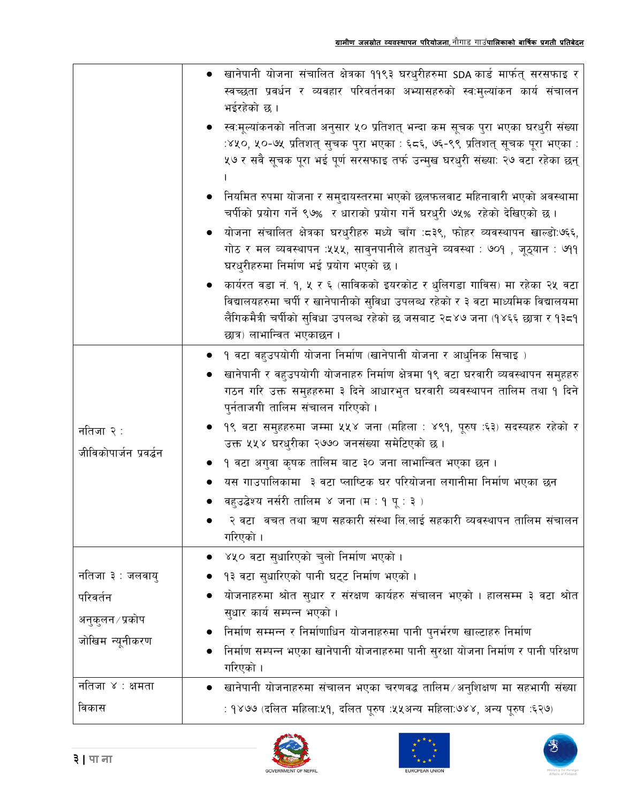|                         | ंखानेपानी योजना संचालित क्षेत्रका ११९३ घरधुरीहरुमा SDA कार्ड मार्फत् सरसफाइ र<br>स्वच्छता प्रवर्धन र व्यवहार परिवर्तनका अभ्यासहरुको स्व:मुल्यांकन कार्य संचालन<br>भईरहेको छ।                                                                                                |
|-------------------------|-----------------------------------------------------------------------------------------------------------------------------------------------------------------------------------------------------------------------------------------------------------------------------|
|                         | ्स्व:मूल्यांकनको नतिजा अनुसार ५० प्रतिशत् भन्दा कम सूचक पुरा भएका घरधुरी संख्या<br>:४५०, ५०-७५ प्रतिशत् सुचक पुरा भएका : ६८६, ७६-९९ प्रतिशत् सूचक पूरा भएका :<br>५७ र सवै सूचक पूरा भई पूर्ण सरसफाइ तर्फ उन्मुख घरधुरी संख्या: २७ वटा रहेका छन्                             |
|                         | ोनयमित रुपमा योजना र समुदायस्तरमा भएको छलफलवाट महिनावारी भएको अवस्थामा<br>चर्पीको प्रयोग गर्ने ९७% र धाराको प्रयोग गर्ने घरधुरी ७५% रहेको देखिएको छ ।                                                                                                                       |
|                         | योजना संचालित क्षेत्रका घरधुरीहरु मध्ये चाँग :८३९, फोहर व्यवस्थापन खाल्डो:७६६,<br>गोठ र मल व्यवस्थापन :५५५, सावुनपानीले हातधुने व्यवस्था : ७०१ , जूठ्यान : ७११<br>घरधुरीहरुमा निर्माण भई प्रयोग भएको छ।                                                                     |
|                         | कार्यरत वडा नं. १, ५ र ६ (साविकको इयरकोट र धुलिगडा गाविस) मा रहेका २५ वटा<br>विद्यालयहरुमा चर्पी र खानेपानीको सुविधा उपलब्ध रहेको र ३ वटा माध्यमिक विद्यालयमा<br>लैंगिकमैत्री चर्पीको सुविधा उपलब्ध रहेको छ जसबाट २८४७ जना (१४६६ छात्रा र १३८१<br>छात्र) लाभान्वित भएकाछन । |
|                         | <u> १ वटा वहुउपयोगी योजना निर्माण (खानेपानी योजना र आधुनिक सिचाइ )</u>                                                                                                                                                                                                      |
|                         | खानेपानी र वहुउपयोगी योजनाहरु निर्माण क्षेत्रमा १९ वटा घरवारी व्यवस्थापन समुहहरु<br>गठन गरि उक्त समुहहरुमा ३ दिने आधारभुत घरवारी व्यवस्थापन तालिम तथा १ दिने<br>पुर्नताजगी तालिम संचालन गरिएको ।                                                                            |
| नतिजा २ :               | ९९ वटा समुहहरुमा जम्मा ५५४ जना (महिला : ४९१, पूरुष :६३) सदस्यहरु रहेको र<br>उक्त ५५४ घरधुरीका २७७० जनसंख्या समेटिएको छ ।                                                                                                                                                    |
| जीविकोपार्जन प्रवर्द्धन | १ वटा अगुवा कृषक तालिम बाट ३० जना लाभान्वित भएका छन ।                                                                                                                                                                                                                       |
|                         | यस गाउपालिकामा) ३ वटा प्लाष्टिक घर परियोजना लगानीमा निर्माण भएका छन                                                                                                                                                                                                         |
|                         | वहुउद्बेश्य नर्सरी तालिम ४ जना (म : १ पू : ३ )                                                                                                                                                                                                                              |
|                         | २ वटा वचत तथा ऋण सहकारी संस्था लि.लाई सहकारी व्यवस्थापन तालिम संचालन<br>गरिएको ।                                                                                                                                                                                            |
|                         | ४५० वटा सुधारिएको चुलो निर्माण भएको ।                                                                                                                                                                                                                                       |
| नतिजा ३ : जलवायु        | १३ वटा सुधारिएको पानी घट्ट निर्माण भएको ।                                                                                                                                                                                                                                   |
| परिवर्तन                | योजनाहरुमा श्रोत सुधार र संरक्षण कार्यहरु संचालन भएको । हालसम्म ३ वटा श्रोत                                                                                                                                                                                                 |
| अनुकुलन ∕ प्रकोप        | सुधार कार्य सम्पन्न भएको ।                                                                                                                                                                                                                                                  |
| जोखिम न्यूनीकरण         | निर्माण सम्मन्न र निर्माणाधिन योजनाहरुमा पानी पुनर्भरण खाल्टाहरु निर्माण                                                                                                                                                                                                    |
|                         | निर्माण सम्पन्न भएका खानेपानी योजनाहरुमा पानी सुरक्षा योजना निर्माण र पानी परिक्षण<br>गरिएको ।                                                                                                                                                                              |
| नतिजा ४ : क्षमता        | खानेपानी योजनाहरुमा संचालन भएका चरणवद्ध तालिम ∕ अनुशिक्षण मा सहभागी संख्या                                                                                                                                                                                                  |
| विकास                   | : १४७७ (दलित महिला:५१, दलित पूरुष :५५अन्य महिला:७४४, अन्य पूरुष :६२७)                                                                                                                                                                                                       |





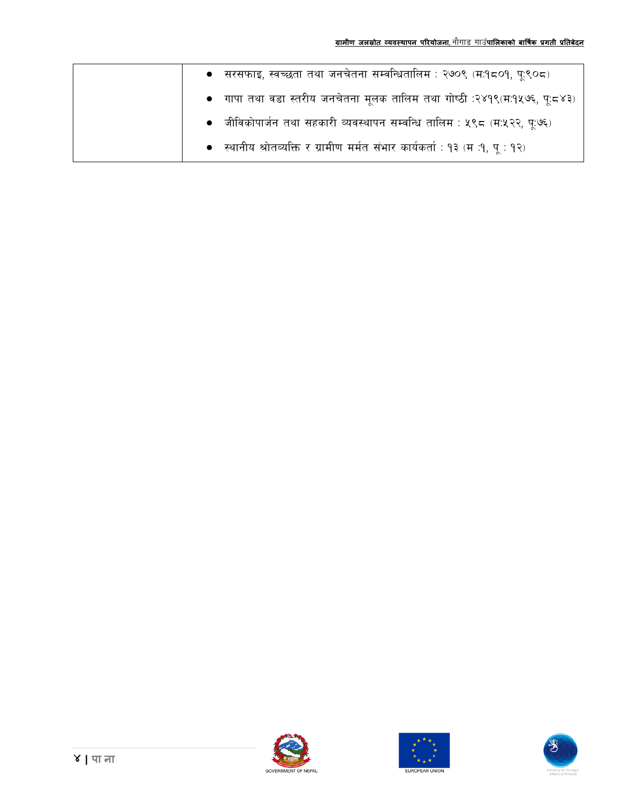| ● सरसफाइ, स्वच्छता तथा जनचेतना सम्वन्धितालिम : २७०९ (म:१८०१, पू:९०८)         |
|------------------------------------------------------------------------------|
| ●   गापा तथा वडा स्तरीय जनचेतना मूलक तालिम तथा गोष्ठी :२४१९(म:१५७६, पू:८४३)  |
| • जीविकोपार्जन तथा सहकारी व्यवस्थापन सम्वन्धि तालिम : ५९८ (म:५२२, पू:७६)     |
| • स्थानीय श्रोतव्यक्ति र ग्रामीण मर्मत संभार कार्यकर्ता : १३ (म :१, पू : १२) |





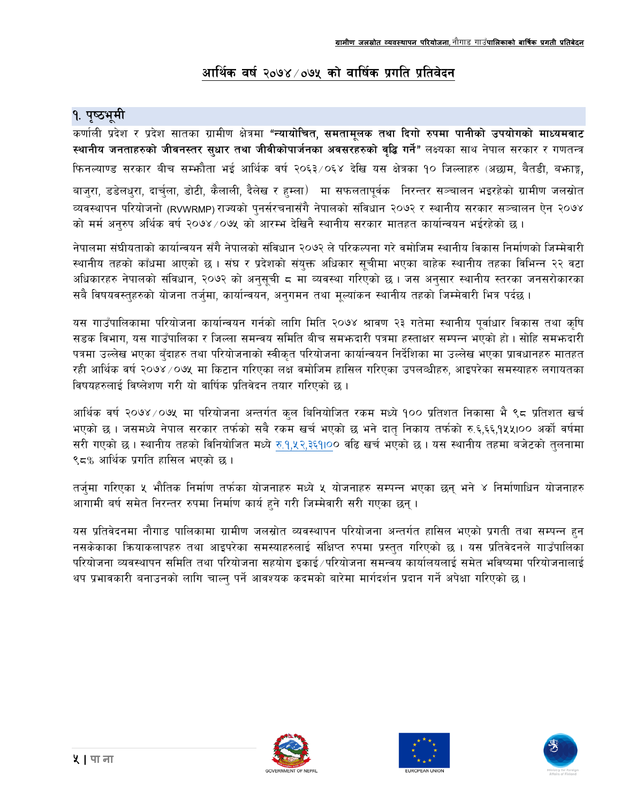## आर्थिक वर्ष २०७४ ⁄ ०७५ को वार्षिक प्रगति प्रतिवेदन

## १. पृष्ठभूमी

कर्णाली प्रदेश र प्रदेश सातका ग्रामीण क्षेत्रमा **"न्यायोचित, समतामूलक तथा दिगो रुपमा पानीको उपयोगको माध्यमवाट** स्थानीय जनताहरुको जीवनस्तर सुधार तथा जीवीकोपार्जनका अवसरहरुको वृद्धि गर्ने" लक्ष्यका साथ नेपाल सरकार र गणतन्त्र फिनल्याण्ड सरकार बीच सम्फौता भई आर्थिक वर्ष २०६३/०६४ देखि यस क्षेत्रका १० जिल्लाहरु (अछाम, बैतडी, बफाङ्ग, बाज्रा, डडेलधुरा, दार्चुला, डोटी, कैलाली, दैलेख र हम्ला) मा सफलतापूर्वक निरन्तर सञ्चालन भइरहेको ग्रामीण जलस्रोत व्यवस्थापन परियोजनो (RVWRMP) राज्यको पुनर्सरचनासँगै नेपालको संविधान २०७२ र स्थानीय सरकार सञ्चालन ऐन २०७४ को मर्म अनुरुप अर्थिक वर्ष २०७४/०७५ को आरम्भ देखिनै स्थानीय सरकार मातहत कार्यान्वयन भईरहेको छ।

नेपालमा संघीयताको कार्यान्वयन सँगै नेपालको संविधान २०७२ ले परिकल्पना गरे वमोजिम स्थानीय विकास निर्माणको जिम्मेवारी स्थानीय तहको काँधमा आएको छ । संघ र प्रदेशको संयुक्त अधिकार सुचीमा भएका बाहेक स्थानीय तहका विभिन्न २२ वटा अधिकारहरु नेपालको संविधान, २०७२ को अनुसुची ८ मा व्यवस्था गरिएको छ । जस अनुसार स्थानीय स्तरका जनसरोकारका सबै विषयवस्तुहरुको योजना तर्जुमा, कार्यान्वयन, अनुगमन तथा मूल्यांकन स्थानीय तहको जिम्मेवारी भित्र पर्दछ ।

यस गाउँपालिकामा परियोजना कार्यान्वयन गर्नको लागि मिति २०७४ श्रावण २३ गतेमा स्थानीय पूर्वाधार विकास तथा कृषि सडक विभाग, यस गाउँपालिका र जिल्ला समन्वय समिति बीच समभ्रुदारी पत्रमा हस्ताक्षर सम्पन्न भएको हो । सोहि समभ्रुदारी पत्रमा उल्लेख भएका बँदाहरु तथा परियोजनाको स्वीकृत परियोजना कार्यान्वयन निर्देशिका मा उल्लेख भएका प्रावधानहरु मातहत रही आर्थिक वर्ष २०७४/०७५ मा किटान गरिएका लक्ष वमोजिम हासिल गरिएका उपलब्धीहरु, आइपरेका समस्याहरु लगायतका विषयहरुलाई विष्लेशण गरी यो वार्षिक प्रतिवेदन तयार गरिएको छ ।

आर्थिक वर्ष २०७४ ⁄ ०७५ मा परियोजना अन्तर्गत कुल बिनियोजित रकम मध्ये १०० प्रतिशत निकासा भै ९८ प्रतिशत खर्च भएको छ । जसमध्ये नेपाल सरकार तर्फको सबै रकम खर्च भएको छ भने दातु निकाय तर्फको रु.६,६६,१५५।०० अर्को वर्षमा सरी गएको छ । स्थानीय तहको विनियोजित मध्ये रु.१,४२,३६१।०० वढि खर्च भएको छ । यस स्थानीय तहमा बजेटको तलनामा ९८% आर्थिक प्रगति हासिल भएको छ ।

तर्जुमा गरिएका ५ भौतिक निर्माण तर्फका योजनाहरु मध्ये ५ योजनाहरु सम्पन्न भएका छन् भने ४ निर्माणाधिन योजनाहरु आगामी बर्ष समेत निरन्तर रुपमा निर्माण कार्य हुने गरी जिम्मेवारी सरी गएका छन् ।

यस प्रतिवेदनमा नौगाड पालिकामा ग्रामीण जलस्रोत व्यवस्थापन परियोजना अन्तर्गत हासिल भएको प्रगती तथा सम्पन्न हुन नसकेकाका कियाकलापहरु तथा आइपरेका समस्याहरुलाई संक्षिप्त रुपमा प्रस्तुत गरिएको छ । यस प्रतिवेदनले गाउँपालिका परियोजना व्यवस्थापन समिति तथा परियोजना सहयोग इकाई ∕परियोजना समन्वय कार्यालयलाई समेत भविष्यमा परियोजनालाई थप प्रभावकारी बनाउनको लागि चाल्नु पर्ने आवश्यक कदमको बारेमा मार्गदर्शन प्रदान गर्ने अपेक्षा गरिएको छ ।





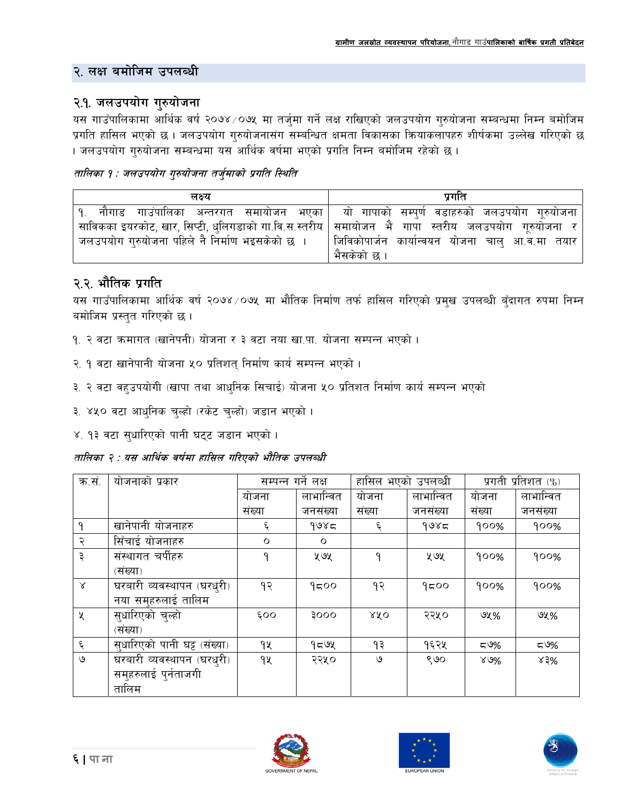#### २. लक्ष बमोजिम उपलब्धी

#### २.१. जलउपयोग गुरुयोजना

यस गाउँपालिकामा आर्थिक वर्ष २०७४/०७५ मा तर्जुमा गर्ने लक्ष राखिएको जलउपयोग गुरुयोजना सम्बन्धमा निम्न बमोजिम प्रगति हासिल भएको छ । जलउपयोग गुरुयोजनासंग सम्बन्धित क्षमता विकासका क्रियाकलापहरु शीर्षकमा उल्लेख गरिएको छ । जलउपयोग गुरुयोजना सम्बन्धमा यस आर्थिक वर्षमा भएको प्रगति निम्न बमोजिम रहेको छ ।

#### तालिका १ : जलउपयोग गरुयोजना तर्जमाको प्रगति स्थिति

| लक्ष्य                                                                                                         | प्रगति                                                                                         |
|----------------------------------------------------------------------------------------------------------------|------------------------------------------------------------------------------------------------|
|                                                                                                                | <u> १. नौगाड गाउंपालिका अन्तरगत समायोजन भएका यो गापाको सम्पर्ण वडाहरुको जलउपयोग गूरुयोजना </u> |
| साविकका इयरकोट, खार, सिप्टी, धुलिगडाको गा.वि.स.स्तरीय   समायोजन   भै   गापा   स्तरीय   जलउपयोग   गृरुयोजना   र |                                                                                                |
| जलउपयोग गुरुयोजना पहिले नै निर्माण भइसकेको छ ।                                                                 | ॑ जिविकोपार्जन कार्यान्वयन योजना चालु आ.व.मा तयार ॑                                            |
|                                                                                                                | भैसकेको छ ।                                                                                    |

### २.२. भौतिक प्रगति

यस गाउँपालिकामा आर्थिक वर्ष २०७४ ⁄ ०७५ मा भौतिक निर्माण तर्फ हासिल गरिएको प्रमुख उपलब्धी बुँदागत रुपमा निम्न बमोजिम प्रस्तुत गरिएको छ।

- १. २ वटा क्रमागत (खानेपनी) योजना र ३ वटा नया खा.पा. योजना सम्पन्न भएको ।
- २. १ वटा खानेपानी योजना ५० प्रतिशतु निर्माण कार्य सम्पन्न भएको ।
- ३. २ वटा वहुउपयोगी (खापा तथा आधुनिक सिचाई) योजना ५० प्रतिशत निर्माण कार्य सम्पन्न भएको
- ३. ४५० वटा आधुनिक चुल्हो (रकेट चुल्हो) जड़ान भएको ।
- ४. १३ वटा सुधारिएको पानी घट्ट जडान भएको ।

तालिका २ : यस आर्थिक वर्षमा हासिल गरिएको भौतिक उपलब्धी

| क.सं.              | योजनाको प्रकार               | सम्पन्न गर्ने लक्ष |           | हासिल भएको उपलव्धी |           | प्रगती प्रतिशत (%) |           |  |
|--------------------|------------------------------|--------------------|-----------|--------------------|-----------|--------------------|-----------|--|
|                    |                              | योजना              | लाभान्वित | योजना              | लाभान्वित | योजना              | लाभान्वित |  |
|                    |                              | संख्या             | जनसंख्या  | संख्या             | जनसंख्या  | संख्या             | जनसंख्या  |  |
| ٩                  | खानेपानी योजनाहरु            | ६                  | 9085      | ६                  | 9085      | 900%               | 900%      |  |
| २                  | सिँचाई योजनाहरु              | $\circ$            | $\circ$   |                    |           |                    |           |  |
| ३                  | संस्थागत चर्पीहरु            | ٩                  | ५७५       | ٩                  | ५७५       | 900%               | 900%      |  |
|                    | (संख्या)                     |                    |           |                    |           |                    |           |  |
| Χ                  | घरबारी व्यवस्थापन (घरधुरी)   | १२                 | 9500      | 93                 | 9500      | 900%               | 900%      |  |
|                    | नया समुहरुलाई तालिम          |                    |           |                    |           |                    |           |  |
| X                  | सुधारिएको चुल्हो             | 500                | ooog      | XXO                | २२५०      | ও५%                | ৩५%       |  |
|                    | (संख्या)                     |                    |           |                    |           |                    |           |  |
| $\boldsymbol{\xi}$ | सुधारिएको पानी घट्ट (संख्या) | 9X                 | 959       | १३                 | १६२५      | ≂ ಅ%               | ≂'೨%      |  |
| ৩                  | घरबारी व्यवस्थापन (घरधुरी)   | 92                 | २२५०      | ও                  | ९७०       | $80\%$             | $x3\%$    |  |
|                    | समुहरुलाई पुर्नताजगी         |                    |           |                    |           |                    |           |  |
|                    | तालिम                        |                    |           |                    |           |                    |           |  |





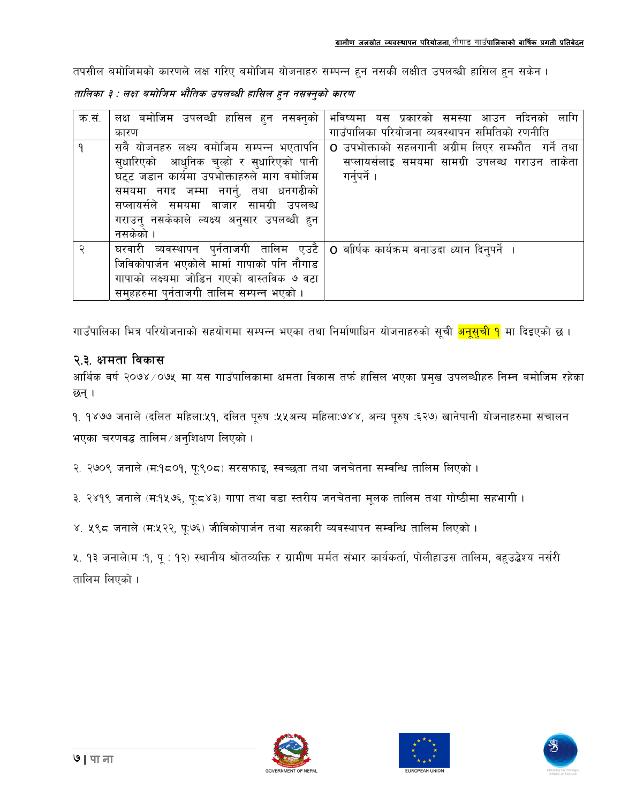तपसील बमोजिमको कारणले लक्ष गरिए बमोजिम योजनाहरु सम्पन्न हुन नसकी लक्षीत उपलब्धी हासिल हुन सकेन ।

तालिका ३ : लक्ष बमोजिम भौतिक उपलब्धी हासिल हुन नसक्नुको कारण

| क.सं. | लक्ष बमोजिम उपलव्धी हासिल हुन नसक्नुको      | भविष्यमा यस प्रकारको समस्या आउन नदिनको लागि        |
|-------|---------------------------------------------|----------------------------------------------------|
|       | कारण                                        | गाउँपालिका परियोजना व्यवस्थापन समितिको रणनीति      |
|       | सबै योजनहरु लक्ष्य वमोजिम सम्पन्न भएतापनि   | O उपभोक्ताको सहलगानी अग्रीम लिएर सम्फौत  गर्ने तथा |
|       | सुधारिएको आधुनिक चुल्हो र सुधारिएको पानी    | सप्लायर्सलाइ समयमा सामग्री उपलब्ध गराउन ताकेता     |
|       | घट्ट जडान कार्यमा उपभोक्ताहरुले माग वमोजिम  | गर्नुपर्ने ।                                       |
|       | समयमा नगद जम्मा नगर्नु, तथा धनगढीको         |                                                    |
|       | सप्लायर्सले समयमा बाजार सामग्री उपलब्ध      |                                                    |
|       | गराउन् नसकेकाले ल्यक्ष्य अनुसार उपलब्धी हुन |                                                    |
|       | नसकेको ।                                    |                                                    |
|       | घरवारी व्यवस्थापन पुर्नताजगी तालिम एउटै     | O बाीर्षक कार्यक्रम बनाउदा ध्यान दिनुपर्ने  ।      |
|       | जिविकोपार्जन भएकोले मार्मा गापाको पनि नौगाड |                                                    |
|       | गापाको लक्ष्यमा जोडिन गएको वास्तविक ७ वटा   |                                                    |
|       | समुहहरुमा पुर्नताजगी तालिम सम्पन्न भएको ।   |                                                    |

गाउँपालिका भित्र परियोजनाको सहयोगमा सम्पन्न भएका तथा निर्माणाधिन योजनाहरुको सूची <mark>अनूसूची १</mark> मा दिइएको छ ।

#### २.३. क्षमता विकास

आर्थिक वर्ष २०७४ ⁄ ०७५ मा यस गाउँपालिकामा क्षमता विकास तर्फ हासिल भएका प्रमुख उपलब्धीहरु निम्न बमोजिम रहेका छन ।

१. १४७७ जनाले (दलित महिला:५१, दलित पूरुष :५५अन्य महिला:७४४, अन्य पूरुष :६२७) खानेपानी योजनाहरुमा संचालन भएका चरणवद्ध तालिम /अनुशिक्षण लिएको ।

२. २७०९ जनाले (म:१८०१, पू:९०८) सरसफाइ, स्वच्छता तथा जनचेतना सम्वन्धि तालिम लिएको ।

३. २४१९ जनाले (म:१५७६, पू:८४३) गापा तथा वडा स्तरीय जनचेतना मूलक तालिम तथा गोष्ठीमा सहभागी ।

४. ५९८ जनाले (म:५२२, पू:७६) जीविकोपार्जन तथा सहकारी व्यवस्थापन सम्वन्धि तालिम लिएको ।

५. १३ जनाले(म :१, पू : १२) स्थानीय श्रोतव्यक्ति र ग्रामीण मर्मत संभार कार्यकर्ता, पोलीहाउस तालिम, वहुउद्बेश्य नर्सरी तालिम लिएको ।





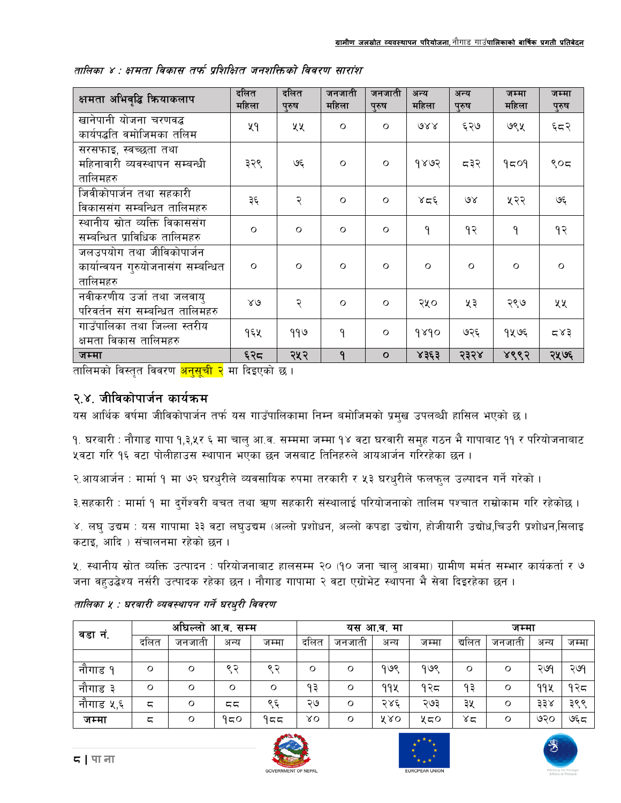| क्षमता अभिवृद्धि क्रियाकलाप                                                | दलित<br>महिला | दलित<br>प्रुष | जनजाती<br>महिला | जनजाती<br>पुरुष | अन्य<br>महिला | अन्य<br>पुरुष | जम्मा<br>महिला | जम्मा<br>पुरुष |
|----------------------------------------------------------------------------|---------------|---------------|-----------------|-----------------|---------------|---------------|----------------|----------------|
| खानेपानी योजना चरणवद्ध<br>कार्यपद्धति वमोजिमका तलिम                        | ५१            | ५५            | $\circ$         | $\circ$         | QXX           | ६२७           | ७९५            | ६८२            |
| सरसफाइ, स्वच्छता तथा<br>महिनावारी व्यवस्थापन सम्बन्धी<br>तालिमहरु          | ३२९           | بگا           | $\circ$         | $\circ$         | 9893          | द३२           | 9509           | ९०८            |
| जिवीकोपार्जन तथा सहकारी<br>विकाससंग सम्बन्धित तालिमहरु                     | ३६            | २             | $\circ$         | $\circ$         | لادو          | $\delta$      | ५२२            | بگا            |
| स्थानीय स्रोत व्यक्ति विकाससंग<br>सम्बन्धित प्राविधिक तालिमहरु             | $\circ$       | $\Omega$      | $\circ$         | $\circ$         | $\mathsf{P}$  | १२            | ٩              | १२             |
| जलउपयोग तथा जीविकोपार्जन<br>कार्यान्वयन गुरुयोजनासंग सम्बन्धित<br>तालिमहरु | $\circ$       | $\Omega$      | $\circ$         | $\circ$         | $\circ$       | $\circ$       | $\circ$        | $\Omega$       |
| नवीकरणीय उर्जा तथा जलवाय्<br>परिवर्तन संग सम्बन्धित तालिमहरु               | $80^{\circ}$  | २             | $\circ$         | $\circ$         | २५०           | ५३            | २९७            | ५५             |
| गाउँपालिका तथा जिल्ला स्तरीय<br>क्षमता विकास तालिमहरु                      | १६५           | ११७           | ۹               | $\circ$         | 9890          | ७२६           | १५७६           | 587            |
| जम्मा                                                                      | ६२८           | २५२           | ٩               | $\mathbf{o}$    | 8363          | २३२४          | ४९९२           | २५७६           |

|  |  |  | तालिका ४ : क्षमता विकास तर्फ प्रशिक्षित जनशक्तिको विवरण सारांश |  |
|--|--|--|----------------------------------------------------------------|--|
|  |  |  |                                                                |  |

तालिमको विस्तृत विवरण <mark>अनुसूची २</mark> मा दिइएको छ ।

#### २.४. जीविकोपार्जन कार्यक्रम

यस आर्थिक वर्षमा जीविकोपार्जन तर्फ यस गाउँपालिकामा निम्न बमोजिमको प्रमुख उपलब्धी हासिल भएको छ ।

१. घरबारी : नौगाड गापा १,३,५र ६ मा चालु आ.व. सम्ममा जम्मा १४ वटा घरवारी समुह गठन भै गापाबाट ११ र परियोजनाबाट ५वटा गरि १६ वटा पोलीहाउस स्थापान भएका छन जसबाट तिनिहरुले आयआर्जन गरिरहेका छन ।

२.आयआर्जन : मार्मा १ मा ७२ घरधुरीले व्यवसायिक रुपमा तरकारी र ५३ घरधुरीले फलफुल उल्पादन गर्ने गरेको ।

३.सहकारी : मार्मा १ मा दुर्गेश्वरी बचत तथा ऋण सहकारी संस्थालाई परियोजनाको तालिम पश्चात राम्रोकाम गरि रहेकोछ ।

४. लघु उद्यम : यस गापामा ३३ वटा लघुउद्यम (अल्लो प्रशोधन, अल्लो कपडा उद्योग, होजीयारी उद्योध,चिउरी प्रशोधन,सिलाइ कटाइ, आदि) संचालनमा रहेको छन।

५. स्थानीय स्रोत व्यक्ति उत्पादन : परियोजनाबाट हालसम्म २० (१० जना चालु आवमा) ग्रामीण मर्मत सम्भार कार्यकर्ता र ७ जना वहुउद्धेश्य नर्सरी उत्पादक रहेका छन । नौगाड गापामा २ वटा एग्रोभेट स्थापना भै सेवा दिइरहेका छन ।

|           | अघिल्लो<br>आ.व. सम्म |         |         | यस आ.व. मा |      |         | जम्मा |       |        |        |      |       |
|-----------|----------------------|---------|---------|------------|------|---------|-------|-------|--------|--------|------|-------|
| वडा नं.   | दलित                 | जनजाता  | अन्य    | जम्मा      | दलित | जनजाती  | अन्य  | जम्मा | द्यलित | जनजाता | अन्य | जम्मा |
|           |                      |         |         |            |      |         |       |       |        |        |      |       |
| नौगाड १   | O                    | Ο       | ९ २     | ९ २        | O    | $\circ$ | १७९   | १७९   | Ο      | O      | २७१  | २७१   |
| नौगाड ३   | Ο                    | Ο       | $\circ$ | $\circ$    | १३   | $\circ$ | 99X   | १२८   | ۹३     | O      | ११५  | १२८   |
| नौगाड ५,६ | ζ                    | Ο       | ςς      | ९६         | ২७   | $\circ$ | २४६   | ২৩३   | ३५     | O      | ३३४  | ३९९   |
| जम्मा     | ζ                    | $\circ$ | १८०     | १८८        | ΧO   | $\circ$ | X RO  | ५८०   | ४द     | O      | ७२०  | ঙ্ঘ   |

#### तालिका १ : घरबारी व्यवस्थापन गर्ने घरधुरी विवरण





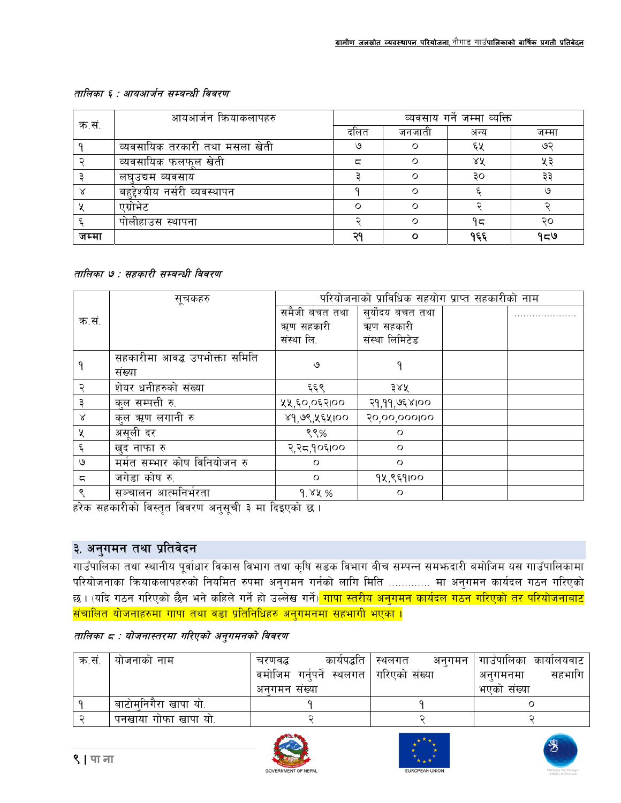#### तालिका ६ : आयआर्जन सम्बन्धी विवरण

|       | आयआर्जन क्रियाकलापहरु          | व्यवसाय गर्ने जम्मा व्यक्ति |        |      |       |  |  |  |
|-------|--------------------------------|-----------------------------|--------|------|-------|--|--|--|
| क.स.  |                                | दलित                        | जनजाती | अन्य | जम्मा |  |  |  |
|       | व्यवसायिक तरकारी तथा मसला खेती | ७                           |        | ६५   | ७२    |  |  |  |
|       | व्यवसायिक फलफुल खेती           | ζ                           |        | ΧX   | u a   |  |  |  |
|       | लघउद्यम व्यवसाय                |                             |        | ЗO   | зз    |  |  |  |
|       | बहद्देश्यीय नर्सरी व्यवस्थापन  |                             |        |      |       |  |  |  |
|       | एग्रोभेट                       | ∩                           |        |      |       |  |  |  |
|       | पोलीहाउस स्थापना               |                             | ∩      | ۹ς   | २०    |  |  |  |
| जम्मा |                                | ാറ                          |        | १६६  | ৭≂७   |  |  |  |

#### तालिका ७ : सहकारी सम्बन्धी विवरण

|           | परियोजनाको प्राविधिक सहयोग प्राप्त सहकारीको नाम<br>सूचकहरु |               |                  |  |  |  |  |  |
|-----------|------------------------------------------------------------|---------------|------------------|--|--|--|--|--|
|           |                                                            | समैजी बचत तथा | सुर्योदय बचत तथा |  |  |  |  |  |
| क.सं.     |                                                            | ऋण सहकारी     | ऋण सहकारी        |  |  |  |  |  |
|           |                                                            | संस्था लि.    | संस्था लिमिटेड   |  |  |  |  |  |
|           | सहकारीमा आवद्ध उपभोक्ता समिति                              | ৩             |                  |  |  |  |  |  |
|           | संख्या                                                     |               |                  |  |  |  |  |  |
|           | शेयर धनीहरुको संख्या                                       | ६६९           | ३४५              |  |  |  |  |  |
|           | कुल सम्पत्ती रु.                                           | ५५,६०,०६२।००  | २१,११,७६४।००     |  |  |  |  |  |
| $\propto$ | कुल ऋण लगानी रु                                            | ४१,७९,५६५।००  | 20,00,000 00     |  |  |  |  |  |
| X         | असूली दर                                                   | ९९%           | $\circ$          |  |  |  |  |  |
| ६         | खुद नाफा रु                                                | २,२८,१०६१००   | $\circ$          |  |  |  |  |  |
| ৩         | मर्मत सम्भार कोष विनियोजन रु                               | $\circ$       | $\circ$          |  |  |  |  |  |
| ς         | जगेडा कोष रु.                                              | $\circ$       | १५,९६१।००        |  |  |  |  |  |
| ९         | सञ्चालन आत्मनिर्भरता                                       | 9.84%         | $\circ$          |  |  |  |  |  |

हरेक सहकारीको विस्तृत विवरण अनुसूची ३ मा दिइएको छ।

#### ३. अनुगमन तथा प्रतिवेदन

गाउँपालिका तथा स्थानीय पूर्वाधार विकास विभाग तथा कृषि सडक विभाग बीच सम्पन्न सम**भन्दारी बमोजिम यस गाउँपालिका**मा परियोजनाका क्रियाकलापहरुको नियमित रुपमा अनुगमन गर्नको लागि मिति ............. मा अनुगमन कार्यदल गठन गरिएको छ । (यदि गठन गरिएको छैन भने कहिले गर्ने हो उल्लेख गर्ने)<mark> गापा स्तरीय अनुगमन कार्यदल गठन गरिएको तर परियोजनाबाट</mark> <u>संचालित योजनाहरुमा गापा तथा वडा प्रतिनिधिहरु अनुगमनमा सहभागी भएका ।</u>

|  | तालिका ८ : योजनास्तरमा गरिएको अनुगमनको विवरण |  |  |
|--|----------------------------------------------|--|--|
|  |                                              |  |  |

| क.सं | याजनाका नाम          | कार्यपद्धति<br>चरणवद्ध                   | अनगमन ।<br>स्थलगत | । गाउँपालिका कार्यालयवाट |
|------|----------------------|------------------------------------------|-------------------|--------------------------|
|      |                      | वमोजिम गर्नुपर्ने स्थलगत   गरिएको संख्या |                   | सहभागि<br>अनगमनमा        |
|      |                      | अनगमन सख्या                              |                   | भएका संख्या              |
|      | बाटोमनिगैरा खापा यो. |                                          |                   |                          |
|      | पनखाया गोफा खापा यो. |                                          |                   |                          |





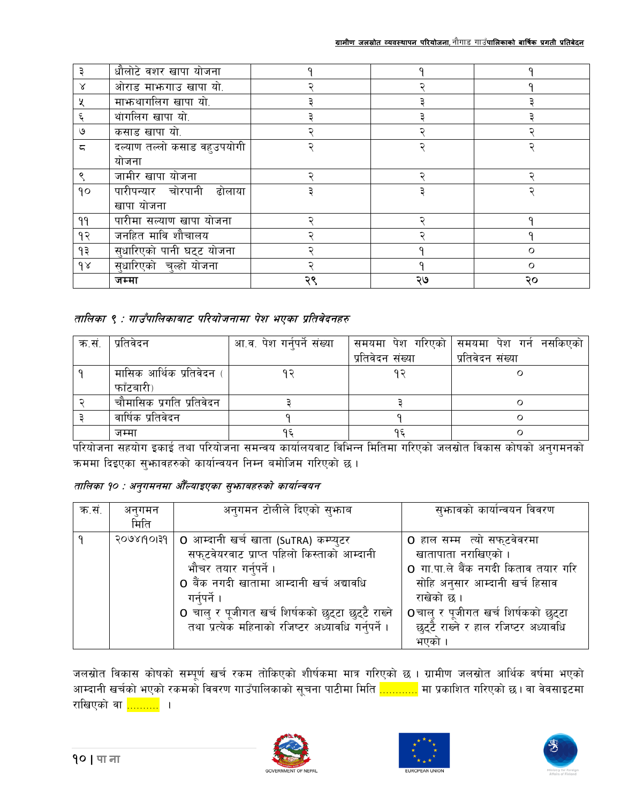|    | धौलोटे वशर खापा योजना       |    |    |    |
|----|-----------------------------|----|----|----|
| Χ  | ओराड माफगाउ खापा यो.        |    |    |    |
| X  | माफ्रथागलिग खापा यो.        |    |    |    |
|    | थांगलिग खापा यो.            |    |    |    |
| ৩  | कसाड खापा यो.               |    |    |    |
| ς  | दल्याण तल्लो कसाड वहुउपयोगी |    |    |    |
|    | योजना                       |    |    |    |
|    | जामीर खापा योजना            |    |    |    |
| 90 | पारीपन्यार चोरपानी ढोलाया   |    |    |    |
|    | खापा योजना                  |    |    |    |
| ۹۹ | पारीमा सल्याण खापा योजना    |    |    |    |
| १२ | जनहित मावि शौचालय           |    |    |    |
| 93 | सुधारिएको पानी घट्ट योजना   |    |    |    |
| 98 | सुधारिएको चुल्हो योजना      |    |    | ∩  |
|    | जम्मा                       | २९ | ২७ | २० |

#### तालिका ९ : गाउँपालिकाबाट परियोजनामा पेश भएका प्रतिवेदनहरु

| क.सं. | प्रतिवेदन                | आ.व. पेश गर्नुपर्ने संख्या |                  | समयमा पेश गरिएको सिमयमा पेश गर्न नसकिएको |
|-------|--------------------------|----------------------------|------------------|------------------------------------------|
|       |                          |                            | प्रतिवेदन संख्या | प्रतिवेदन संख्या                         |
|       | मासिक आर्थिक प्रतिवेदन ( |                            | ດ ລ              |                                          |
|       | फाँटबारी)                |                            |                  |                                          |
|       | चौमासिक प्रगति प्रतिवेदन |                            |                  |                                          |
|       | वार्षिक प्रतिवेदन        |                            |                  |                                          |
|       | जम्मा                    | ۹٤                         |                  |                                          |

परियोजना सहयोग इकाई तथा परियोजना समन्वय कार्यालयवाट विभिन्न मितिमा गरिएको जलस्रोत विकास कोषको अनुगमनको कममा दिइएका सुभावहरुको कार्यान्वयन निम्न बमोजिम गरिएको छ।

तालिका १० : अनुगमनमा औँल्याइएका सुभ्राबहरुको कार्यान्वयन

| क.सं. | अनुगमन     | अनुगमन टोलीले दिएको सुभ्काब                        | सुभ्जावको कार्यान्वयन विवरण          |
|-------|------------|----------------------------------------------------|--------------------------------------|
|       | मिति       |                                                    |                                      |
|       | २०७४।१०१३१ | 0 आम्दानी खर्च खाता (SuTRA) कम्प्युटर              | o हाल सम्म  त्यो सफ्टवेवरमा          |
|       |            | सफुटवेयरवाट प्राप्त पहिलो किस्ताको आम्दानी         | खातापाता नराखिएको ।                  |
|       |            | भौचर तयार गर्नुपर्ने ।                             | o गा.पा.ले बैंक नगदी किताव तयार गरि  |
|       |            | ○ बैंक नगदी खातामा आम्दानी खर्च अद्यावधि           | सोहि अनुसार आम्दानी खर्च हिसाव       |
|       |            | गर्नपर्ने ।                                        | राखेको छ ।                           |
|       |            | 0 चालु र पूजीगत खर्च शिर्षकको छुट्टा छुट्टै राख्ने | oचालु र पूजीगत खर्च शिर्षकको छुट्टा  |
|       |            | तथा प्रत्येक महिनाको रजिष्टर अध्यावधि गर्नुपर्ने । | छुट्टै राख्ने र हाल रजिष्टर अध्यावधि |
|       |            |                                                    | भएको                                 |

जलस्रोत विकास कोषको सम्पूर्ण खर्च रकम तोकिएको शीर्षकमा मात्र गरिएको छ । ग्रामीण जलस्रोत आर्थिक वर्षमा भएको आम्दानी खर्चको भएको रकमको विवरण गाउँपालिकाको सूचना पाटीमा मिति <mark>............</mark> मा प्रकाशित गरिएको छ। वा वेवसाइटमा राखिएको वा <mark>..........</mark> ।





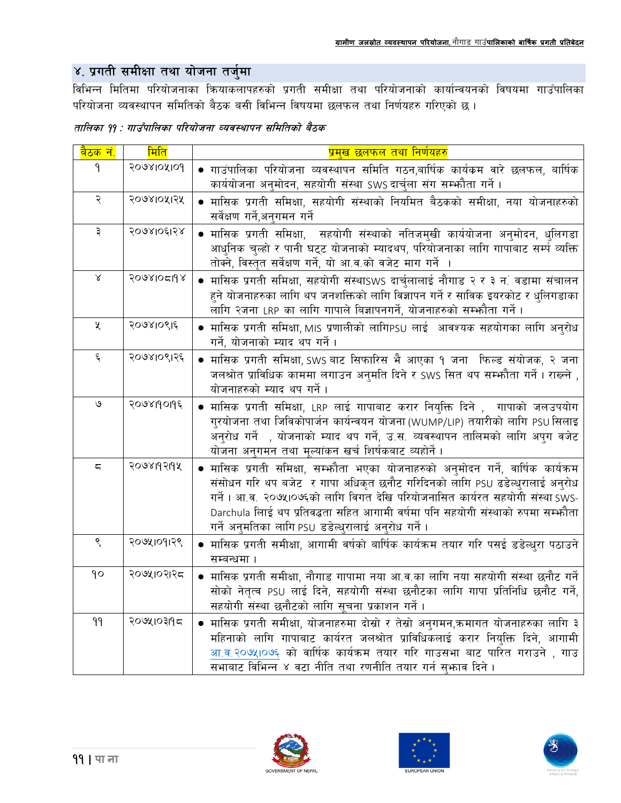## ४. प्रगती समीक्षा तथा योजना तर्जुमा

विभिन्न मितिमा परियोजनाका कियाकलापहरुको प्रगती समीक्षा तथा परियोजनाको कार्यान्वयनको विषयमा गाउँपालिका परियोजना व्यवस्थापन समितिको बैठक बसी विभिन्न विषयमा छलफल तथा निर्णयहरु गरिएको छ।

| तालिका ११ : गाउँपालिका परियोजना व्यवस्थापन समितिको बैठक |
|---------------------------------------------------------|
|---------------------------------------------------------|

| <mark>बैठक नं.</mark> | मिति       | <u>प्रमुख छलफल तथा निर्णयहरु</u>                                                                                                                                                                                                                                                                                                                                                                |
|-----------------------|------------|-------------------------------------------------------------------------------------------------------------------------------------------------------------------------------------------------------------------------------------------------------------------------------------------------------------------------------------------------------------------------------------------------|
| $\mathsf{P}$          | 2068108109 | ● गाउंपालिका परियोजना व्यवस्थापन समिति गठन,बार्षिक कार्यकम वारे छलफल, बार्षिक<br>कार्ययोजना अनुमोदन, सहयोगी संस्था SWS दार्चुला संग सम्फौता गर्ने ।                                                                                                                                                                                                                                             |
| २                     | २०७४।०५।२५ | ● मासिक प्रगती समिक्षा, सहयोगी संस्थाको नियमित बैठकको समीक्षा, नया योजनाहरुको<br>सर्वेक्षण गर्ने,अनगमन गर्ने                                                                                                                                                                                                                                                                                    |
| ३                     | २०७४।०६।२४ | ● मासिक प्रगती समिक्षा, सहयोगी संस्थाको नतिजमुखी कार्ययोजना अनुमोदन, धुलिगडा<br>आधुनिक चुल्हो र पानी घट्ट योजनाको म्यादथप, परियोजनाका लागि गापाबाट सर्म्प व्यक्ति<br>तोक्ने, विस्तृत सर्वेक्षण गर्ने, यो आ.व.को वजेट माग गर्ने ।                                                                                                                                                                |
| $\propto$             | 2098105198 | ● मासिक प्रगती समिक्षा, सहयोगी संस्थाSWS दार्चुलालाई नौगाड २ र ३ न. वडामा संचालन<br>हुने योजनाहरुका लागि थप जनशक्तिको लागि विज्ञापन गर्ने र साविक इयरकोट र धुलिगडाका<br>लागि २जना LRP का लागि गापाले बिज्ञापनगर्ने, योजनाहरुको सम्फौता गर्ने ।                                                                                                                                                  |
| $\chi$                | २०७४1०९1६  | • मासिक प्रगती समिक्षा, MIS प्रणालीको लागिPSU लाई  आवश्यक सहयोगका लागि अनुरोध<br>गर्ने, योजनाको म्याद थप गर्ने ।                                                                                                                                                                                                                                                                                |
| $\xi$                 | २०७४।०९।२६ | • मासिक प्रगती समिक्षा, SWS बाट सिफारिस भै आएका १ जना फिल्ड संयोजक, २ जना<br>जलश्रोत प्राविधिक काममा लगाउन अनुमति दिने र SWS सित थप सम्फौता गर्ने। राख्ने ,<br>योजनाहरुको म्याद थप गर्ने ।                                                                                                                                                                                                      |
| $\mathsf{G}$          | २०७४19०११६ | ● मासिक प्रगती समिक्षा, LRP लाई गापाबाट करार नियुक्ति दिने ,  गापाको जलउपयोग<br>गुरयोजना तथा जिविकोपार्जन कार्यन्वयन योजना(WUMP/LIP) तयारीको लागि PSU सिलाइ<br>अनुरोध गर्ने , योजनाको म्याद थप गर्ने, उ.स. व्यवस्थापन तालिमको लागि अपुग वजेट<br>योजना अनुगमन तथा मूल्यांकन खर्च शिर्षकबाट व्यहोर्ने ।                                                                                           |
| ζ                     | २०७४19२19५ | ● मासिक प्रगती समिक्षा, सम्भ्कौता भएका योजनाहरुको अनुमोदन गर्ने, वार्षिक कार्यक्रम<br>संसोधन गरि थप बजेट र गापा अधिकृत छनौट गरिदिनको लागि PSU ढडेल्धुरालाई अनुरोध<br>गर्ने । आ.व. २०७५।०७६को लागि विगत देखि परियोजनासित कार्यरत सहयोगी संस्था SWS-<br>Darchula लिाई थप प्रतिवद्धता सहित आगामी वर्षमा पनि सहयोगी संस्थाको रुपमा सम्भ्रौता<br>गर्ने अनुमतिका लागि PS∪ डडेल्धुरालाई अनुरोध गर्ने । |
| ९                     | २०७५1०१1२९ | ● मासिक प्रगती समीक्षा, आगामी वर्षको बार्षिक कार्यक्रम तयार गरि पसई डडेल्धुरा पठाउने<br>सम्बन्धमा ।                                                                                                                                                                                                                                                                                             |
| 90                    | २०७५।०२।२८ | ● मासिक प्रगती समीक्षा, नौगाड गापामा नया आ.व.का लागि नया सहयोगी संस्था छनौट गर्ने<br>सोको नेतृत्व PSU लाई दिने, सहयोगी संस्था छनौटका लागि गापा प्रतिनिधि छनौट गर्ने,<br>सहयोगी संस्था छनौटको लागि सूचना प्रकाशन गर्ने ।                                                                                                                                                                         |
| 99                    | २०७५।०३११८ | ● मासिक प्रगती समीक्षा, योजनाहरुमा दोस्रो र तेस्रो अनुगमन,क्रमागत योजनाहरुका लागि ३<br>महिनाको लागि गापाबाट कार्यरत जलश्रोत प्राविधिकलाई करार नियुक्ति दिने, आगामी<br>आ.व.२०७५।०७६ को वार्षिक कार्यक्रम तयार गरि गाउसभा बाट पारित गराउने , गाउ<br>सभाबाट विभिन्न ४ वटा नीति तथा रणनीति तयार गर्न सुभ्फाव दिने ।                                                                                 |





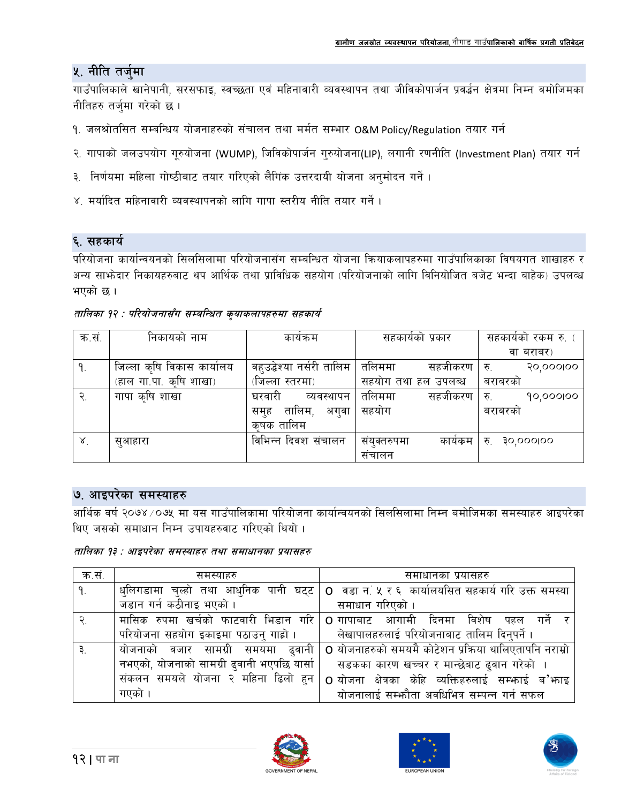#### ५. नीति तर्जुमा

गाउँपालिकाले खानेपानी, सरसफाइ, स्वच्छता एवं महिनावारी व्यवस्थापन तथा जीविकोपार्जन प्रवर्द्धन क्षेत्रमा निम्न वमोजिमका नीतिहरु तर्जुमा गरेको छ।

- १. जलश्रोतसित सम्बन्धिय योजनाहरुको संचालन तथा मर्मत सम्भार O&M Policy/Regulation तयार गर्न
- २. गापाको जलउपयोग गुरुयोजना (WUMP), जिविकोपार्जन गुरुयोजना(LIP), लगानी रणनीति (Investment Plan) तयार गर्न
- ३. निर्णयमा महिला गोष्ठीबाट तयार गरिएको लैगिक उत्तरदायी योजना अनुमोदन गर्ने ।
- ४. मर्यादित महिनावारी व्यवस्थापनको लागि गापा स्तरीय नीति तयार गर्ने ।

#### ६. सहकार्य

परियोजना कार्यान्वयनको सिलसिलामा परियोजनासँग सम्बन्धित योजना कियाकलापहरुमा गाउँपालिकाका विषयगत शाखाहरु र अन्य साभ्रेदार निकायहरुबाट थप आर्थिक तथा प्राविधिक सहयोग (परियोजनाको लागि विनियोजित बजेट भन्दा बाहेक) उपलव्ध भएको छ।

| क.स.   | निकायको नाम                | कायक्रम                  | सहकायका प्रकार      | सहकायका रकम रु.         |
|--------|----------------------------|--------------------------|---------------------|-------------------------|
|        |                            |                          |                     | वा बराबर)               |
| ٩.     | जिल्ला कृषि विकास कार्यालय | वहउद्बेश्या नर्सरी तालिम | तलिममा<br>सहजीकरण   | 90,000100<br>रु.        |
|        | (हाल गा.पा. कृषि शाखा)     | (जिल्ला स्तरमा)          | सहयोग तथा हल उपलब्ध | बराबरका                 |
| २.     | गापा कृषि शाखा             | घरवारी<br>व्यवस्थापन     | तलिममा<br>सहजीकरण   | 90,000100<br>रु.        |
|        |                            | तालिम,<br>अगवा<br>सम्ह   | सहयोग               | बराबरका                 |
|        |                            | कषक तालिम                |                     |                         |
| $\chi$ | सुआहारा                    | विभिन्न दिवश संचालन      | कायकम<br>सयक्तरुपमा | <b>SO,OOOIOO</b><br>रु. |
|        |                            |                          | सचालन               |                         |

तालिका १२ : परियोजनासँग सम्बन्धित कृयाकलापहरुमा सहकार्य

#### ७. आइपरेका समस्याहरु

आर्थिक वर्ष २०७४ ⁄ ०७५ मा यस गाउँपालिकामा परियोजना कार्यान्वयनको सिलसिलामा निम्न बमोजिमका समस्याहरु आइपरेका थिए जसको समाधान निम्न उपायहरुवाट गरिएको थियो ।

तालिका १३ : आइपरेका समस्याहरु तथा समाधानका प्रयासहरु

| क.स. | समस्याहरु                                  | समाधानका प्रयासहरु                                                                          |
|------|--------------------------------------------|---------------------------------------------------------------------------------------------|
| ۹.   |                                            | धुलिगडामा चुल्हो तथा आधुनिक पानी घट्ट   o वडा न.ं ५ र ६ कार्यालयसित सहकार्य गरि उक्त समस्या |
|      | जडान गर्न कठीनाइ भएको ।                    | समाधान गरिएको ।                                                                             |
|      | मासिक रुपमा खर्चको फाटवारी भिडान गरि       | विशेष<br>o गापाबाट  आगामी  दिनमा<br>पहल<br>गन र।                                            |
|      | परियोजना सहयोग इकाइमा पठाउनु गाह्रो ।      | लेखापालहरुलाई परियोजनाबाट तालिम दिनुपर्ने ।                                                 |
|      | योजनाको वजार सामग्री समयमा<br>ढवानी        | O योजनाहरुको समयमै कोटेशन प्रक्रिया थालिएतापनि नराम्रो                                      |
|      | नभएको, योजनाको सामग्री ढुवानी भएपछि यार्सा | सडकका कारण खच्चर र मान्छेबाट ढुवान गरेको                                                    |
|      | संकलन समयले योजना २ महिना ढिलो हुन         | O योजना क्षेत्रका केहि व्यक्तिहरुलाई सम्भाई ब <b>'</b> भाइ                                  |
|      | गएको ।                                     | योजनालाई सम्भौता अवधिभित्र सम्पन्न गर्न सफल                                                 |





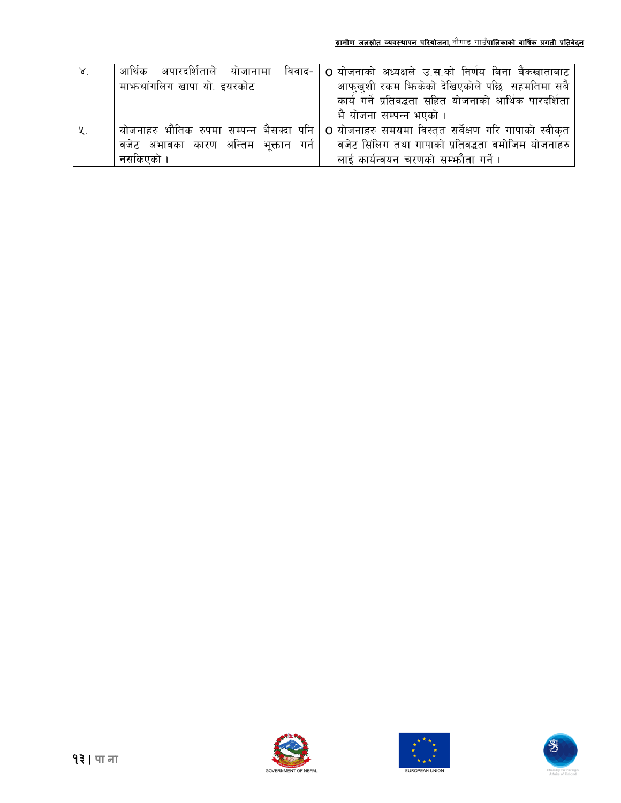| आर्थिक अपारदर्शिताले योजानामा            | विवाद-   O योजनाको अध्यक्षले उ.स.को निर्णय बिना बैंकखाताबाट                                        |
|------------------------------------------|----------------------------------------------------------------------------------------------------|
| माभ्रुथांगलिग खापा यो. इयरकोट            | आफुखुशी रकम भिरकेको देखिएकोले पछि सहमतिमा सबै                                                      |
|                                          | कार्य गर्ने प्रतिवद्धता सहित योजनाको आर्थिक पारदर्शिता                                             |
|                                          | भै योजना सम्पन्न भएको ।                                                                            |
| योजनाहरु भौतिक रुपमा सम्पन्न भैसक्दा पनि | O योजनाहरु समयमा विस्तृत सर्वेक्षण गरि गापाको स्वीकृत                                              |
|                                          | ्वजेट  अभावका  कारण  अन्तिम  भूक्तान  गर्न      वजेट सिंलिग तथा गापाको प्रतिवद्धता वमोजिम योजनाहरु |
| नसकिएको ।                                | लाई कार्यन्वयन चरणको सम्फौता गर्ने।                                                                |





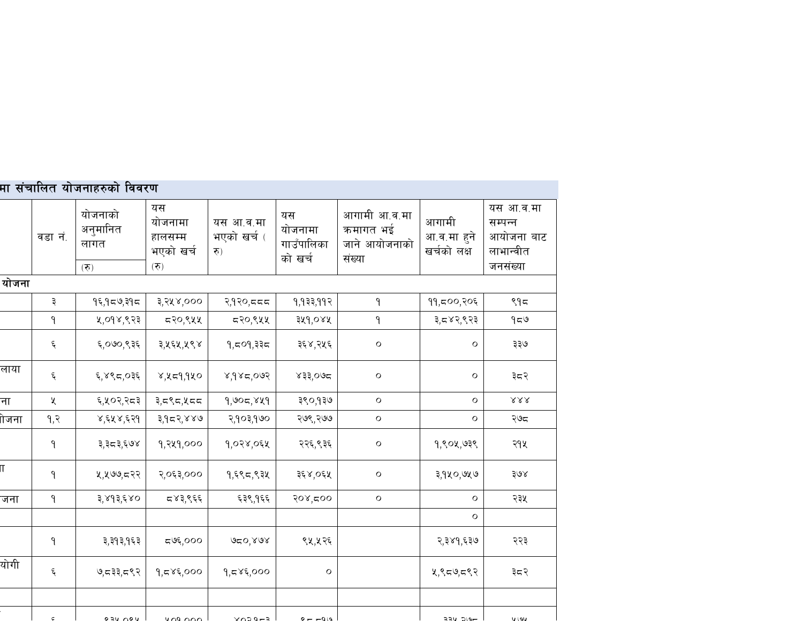|                         |         | मा संचालित योजनाहरुको विवरण |                                              |                                 |                                        |                                                     |                                     |                                                             |
|-------------------------|---------|-----------------------------|----------------------------------------------|---------------------------------|----------------------------------------|-----------------------------------------------------|-------------------------------------|-------------------------------------------------------------|
|                         | वडा नं. | योजनाको<br>अनुमानित<br>लागत | यस<br>योजनामा<br>हालसम्म<br>भएको खर्च<br>(5) | यस आ.व.मा<br>भएको खर्च (<br>रु) | यस<br>योजनामा<br>गाउँपालिका<br>को खर्च | आगामी आ.व.मा<br>कमागत भई<br>जाने आयोजनाको<br>संख्या | आगामी<br>आ.व.मा हुने<br>खर्चको लक्ष | यस आ.व.मा<br>सम्पन्न<br>आयोजना बाट<br>लाभान्वीत<br>जनसंख्या |
| योजना                   | (5)     |                             |                                              |                                 |                                        |                                                     |                                     |                                                             |
|                         | ३       | १६,१८७,३१८                  | ३,२५४,०००                                    | २,१२०,८८८                       | 9,933,992                              | ۹                                                   | ११,८००,२०६                          | ९१८                                                         |
|                         | ۹       | ५,०१४,९२३                   | ८२०,९५५                                      | ८२०,९५५                         | ३५१,०४५                                | ۹                                                   | ३,८४२,९२३                           | 959                                                         |
|                         | ٤       | ६,०७०,९३६                   | ३,५६५,५९४                                    | १,८०१,३३८                       | ३६४,२५६                                | $\mathbf O$                                         | О                                   | ३३७                                                         |
| लाया                    | ٤       | ६,४९८,०३६                   | 8,459,980                                    | 800,787,8                       | ४३३,०७८                                | $\mathsf{O}$                                        | $\mathbf O$                         | ३८२                                                         |
| ना                      | X       | ६,५०२,२८३                   | ३,८९८,५८८                                    | 9,905,889                       | ३९०,१३७                                | $\mathsf{o}$                                        | $\circ$                             | $\lambda\lambda\lambda$                                     |
| ।ोजना                   | 9, 2    | ४,६५४,६२१                   | ३,१८२,४४७                                    | २,१०३,१७०                       | २७९,२७७                                | $\mathsf{o}$                                        | О                                   | २७८                                                         |
|                         | ۹       | ३,३८३,६७४                   | १,२५१,०००                                    | 9,028,051                       | २२६,९३६                                | $\mathbf O$                                         | १,९०५,७३९                           | २१५                                                         |
| $\overline{\mathsf{u}}$ | ۹       | ५,५७७,८२२                   | २,०६३,०००                                    | १,६९८,९३५                       | ३६४,०६५                                | O                                                   | ३,१५०,७५७                           | ३७४                                                         |
| जना                     | ٩       | ३,४१३,६४०                   | द४३,९६६                                      | ६३९,१६६                         | २०४,८००                                | $\mathbf O$                                         | о                                   | २३५                                                         |
|                         |         |                             |                                              |                                 |                                        |                                                     | О                                   |                                                             |
|                         | ۹       | ३,३१३,१६३                   | ದರ್ಅ್,೦೦೦                                    | శం, నిరి                        | ९५,५२६                                 |                                                     | २,३४१,६३७                           | २२३                                                         |
| योगी                    | ٤       | ७,८३३,८९२                   | 9,585,000                                    | 9,585,000                       | $\mathsf{O}$                           |                                                     | ५,९८७,८९२                           | ३८२                                                         |
|                         |         |                             |                                              |                                 |                                        |                                                     |                                     |                                                             |
|                         |         |                             |                                              |                                 |                                        |                                                     |                                     |                                                             |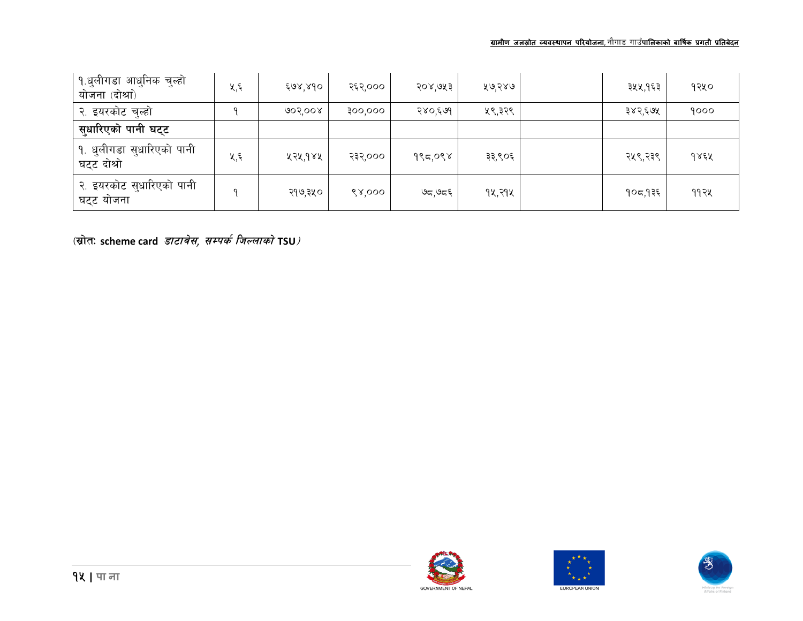#### **ग्रामीण जलİोत åयवèथापन पिरयोजना**, gf}uf8 ufp**पािलकाको** <sup>F</sup> **बािषकर् प्रगती प्रितबेदन**

| <u> १.धु</u> लीगडा आधुनिक चुल्हो<br>योजना (दोश्रा)    | ५,६ | ६७४,४१० | २६२,००० | २०४,७५३ | ५७,२४७ | ३५५,१६३ | १२५० |
|-------------------------------------------------------|-----|---------|---------|---------|--------|---------|------|
| २. इयरकोट चुल्हो                                      |     | ७०२,००४ | 300,000 | २४०,६७१ | ५९,३२९ | ३४२,६७५ | 9000 |
| सुधारिएको पानी घट्ट                                   |     |         |         |         |        |         |      |
| <sup> </sup> १. धुलीगडा सुधारिएको पानी<br>घट्ट दोश्रो | ५,६ | ५२५,१४५ | २३२,००० | १९८,०९४ | ३३,९०६ | २५९,२३९ | १४६५ |
| <u>२. इयरकोट सु</u> धारिएको पानी<br>घट्ट योजना        | q   | २१७,३५० | ९४,०००  | ಅದ್ಗಅದ್ | १५,२१५ | १०८,१३६ | ११२५ |

(स्रोत: scheme card *डाटावेस, सम्पर्क जिल्लाको* TSU*)* 





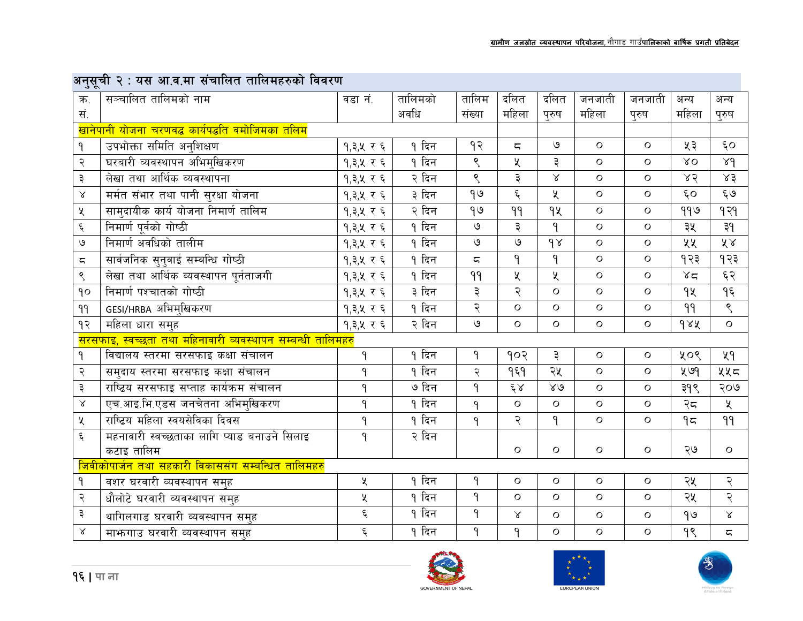## अनुसूची २ : यस आ.व.मा संचालित तालिमहरुको विवरण

| ہ ت                    |                                                                           |                    |         |                |                     |              |              |              |                  |                         |  |
|------------------------|---------------------------------------------------------------------------|--------------------|---------|----------------|---------------------|--------------|--------------|--------------|------------------|-------------------------|--|
| क.                     | सञ्चालित तालिमको नाम                                                      | वडा नं.            | तालिमको | तालिम          | दलित                | दलित         | जनजाती       | जनजाती       | अन्य             | अन्य                    |  |
| सं.                    |                                                                           |                    | अवधि    | संख्या         | महिला               | पुरुष        | महिला        | पुरुष        | महिला            | पुरुष                   |  |
|                        | <mark>खानेपानी योजना चरणवद्ध कार्यपद्धति वमोजिमका तलिम</mark>             |                    |         |                |                     |              |              |              |                  |                         |  |
| ۹                      | उपभोक्ता समिति अनुशिक्षण                                                  | १,३,५ र ६          | १ दिन   | १२             | $\overline{a}$      | ৩            | $\circ$      | $\circ$      | ५३               | $\epsilon$ o            |  |
| २                      | घरबारी व्यवस्थापन अभिमुखिकरण                                              | १,३,५ र ६          | १ दिन   | $\mathcal{S}$  | ५                   | ३            | $\circ$      | $\circ$      | $X_{\mathbf{O}}$ | 89                      |  |
| ३                      | लेखा तथा आर्थिक व्यवस्थापना                                               | १,३,५ र ६          | २ दिन   | ९              | ३                   | $\alpha$     | $\circ$      | $\circ$      | 85               | 83                      |  |
| $\propto$              | <u>मर्मत संभार तथा पानी सु</u> रक्षा योजना                                | १,३,५ र ६          | ३ दिन   | 99             | $\boldsymbol{\xi}$  | ৼ            | $\circ$      | $\circ$      | $\epsilon$ o     | $\xi$ ७                 |  |
| Κ                      | सामुदायीक कार्य योजना निमार्ण तालिम                                       | १,३,५ र ६          | २ दिन   | 99             | 99                  | qy           | $\circ$      | $\circ$      | ११७              | 939                     |  |
| $\boldsymbol{\xi}$     | निमार्ण पूर्वको गोष्ठी                                                    | १,३,५ र ६          | १ दिन   | $\mathsf{G}$   | ३                   | 9            | $\mathbf O$  | $\circ$      | ३५               | ३१                      |  |
| $\mathcal{O}$          | निमार्ण अवधिको तालीम                                                      | १,३,५ र ६          | १ दिन   | $\mathsf{G}$   | ৩                   | 98           | $\circ$      | $\circ$      | ५५               | ४४                      |  |
| $\overline{\varsigma}$ | सार्वजनिक सुनुवाई सम्बन्धि गोष्ठी                                         | १,३,५ र ६          | १ दिन   | $\overline{a}$ | $\mathsf{P}$        | 9            | $\circ$      | $\circ$      | १२३              | १२३                     |  |
| $\mathord{\mathsf{S}}$ | लेखा तथा आर्थिक व्यवस्थापन पूर्नताजगी                                     | १,३,५ र ६          | १ दिन   | 99             | ५                   | $\chi$       | $\mathbf O$  | $\mathsf O$  | 85               | $\xi$ $\xi$             |  |
| 90                     | निमार्ण पश्चातको गोष्ठी                                                   | १,३,५ र ६          | ३ दिन   | ३              | २                   | $\circ$      | $\circ$      | $\Omega$     | qy               | $9\xi$                  |  |
| 99                     | GESI/HRBA अभिमुखिकरण                                                      | १,३,५ र ६          | १ दिन   | २              | $\Omega$            | $\circ$      | $\circ$      | $\circ$      | 99               | $\zeta$                 |  |
| $\gamma$               | महिला धारा समुह                                                           |                    | २ दिन   | $\mathcal{O}$  | $\mathbf O$         | $\mathbf O$  | $\mathbf O$  | $\mathsf{O}$ | dAA              | $\mathbf O$             |  |
|                        | <mark>सरसफाइ, स्वच्छता तथा महिनावारी व्यवस्थापन सम्बन्धी तालिमहर</mark> ु | १,३,५ र ६          |         |                |                     |              |              |              |                  |                         |  |
| $\mathsf{P}$           | विद्यालय स्तरमा सरसफाइ कक्षा संचालन                                       | ۹                  | १ दिन   | ۹              | १०२                 | ३            | $\mathsf{O}$ | $\circ$      | ५०९              | 49                      |  |
| २                      | समुदाय स्तरमा सरसफाइ कक्षा संचालन                                         | ٩                  | १ दिन   | २              | १६१                 | २५           | $\mathsf{O}$ | $\circ$      | ५७9              | ५५८                     |  |
| ३                      | राष्ट्रिय सरसफाइ सप्ताह कार्यक्रम संचालन                                  | ٩                  | ७ दिन   | $\mathsf{P}$   | $\xi_{\mathcal{S}}$ | $80^{\circ}$ | $\circ$      | $\circ$      | ३१९              | २०७                     |  |
| $\propto$              | एच.आइ.भि.एडस जनचेतना अभिमुखिकरण                                           | ٩                  | १ दिन   | $\mathsf{P}$   | $\overline{O}$      | $\circ$      | $\circ$      | $\circ$      | २८               | $\chi$                  |  |
| $\chi$                 | राष्टिय महिला स्वयसेविका दिवस                                             | ٩                  | १ दिन   | $\mathsf{P}$   | २                   | $\mathsf{P}$ | $\circ$      | $\mathbf O$  | 95               | 99                      |  |
| ६                      | महनावारी स्वच्छताका लागि प्याड बनाउने सिलाइ                               | $\mathsf{P}$       | २ दिन   |                |                     |              |              |              |                  |                         |  |
|                        | कटाइ तालिम                                                                |                    |         |                | $\circ$             | $\mathsf{O}$ | $\circ$      | $\circ$      | ২७               | $\mathsf O$             |  |
|                        | <u>जिवीकोपार्जन तथा सहकारी विकाससंग सम्बन्धित तालिमहरु</u>                |                    |         |                |                     |              |              |              |                  |                         |  |
| ۹                      | वशर घरवारी व्यवस्थापन समुह                                                | Κ                  | १ दिन   | $\mathsf{P}$   | $\mathbf O$         | $\mathsf{O}$ | $\mathbf O$  | $\mathsf{O}$ | २५               | २                       |  |
| २                      | धौलोटे घरवारी व्यवस्थापन समुह                                             | Κ                  | १ दिन   | $\mathsf{P}$   | $\Omega$            | $\Omega$     | $\circ$      | $\circ$      | २५               | २                       |  |
| ३                      | थागिलगाड घरवारी व्यवस्थापन सम्ह                                           | $\boldsymbol{\xi}$ | १ दिन   | $\mathsf{P}$   | Χ                   | $\circ$      | $\circ$      | $\circ$      | $\theta$         | $\propto$               |  |
| $\propto$              | माफगाउ घरवारी व्यवस्थापन समह                                              | $\boldsymbol{\xi}$ | १ दिन   | $\mathsf{P}$   | ٩                   | $\mathbf O$  | $\circ$      | $\circ$      | 98               | $\overline{\mathbb{C}}$ |  |







**GOVERNMENT OF NEPAL**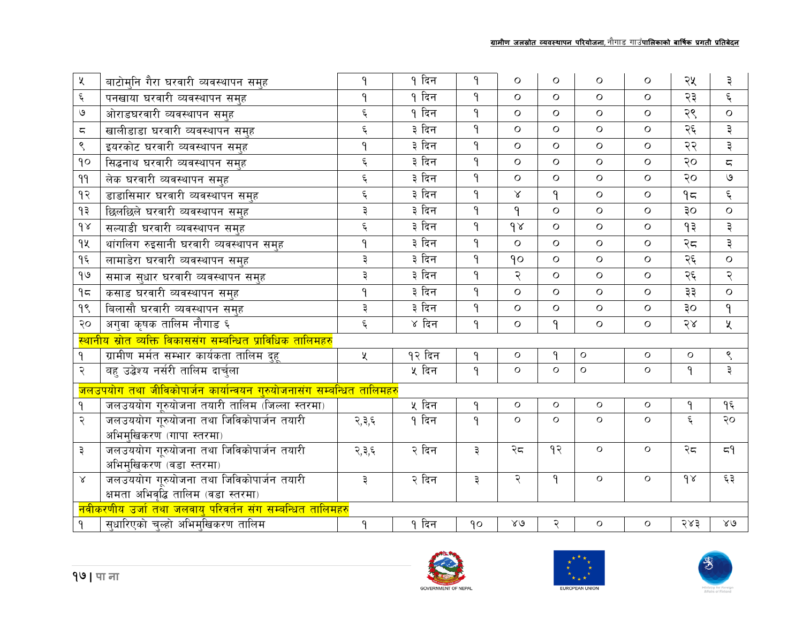| $\chi$                   | बाटोमनि गैरा घरवारी व्यवस्थापन समुह                                                                            | ۹                     | १ दिन  | $\mathsf{P}$  | $\Omega$     | $\Omega$     | $\Omega$ | $\circ$  | २५      | ३                      |
|--------------------------|----------------------------------------------------------------------------------------------------------------|-----------------------|--------|---------------|--------------|--------------|----------|----------|---------|------------------------|
| $\xi$                    | पनखाया घरवारी व्यवस्थापन समुह                                                                                  | ٩                     | १ दिन  | $\mathsf{P}$  | $\Omega$     | $\Omega$     | $\Omega$ | $\Omega$ | २३      | $\xi$                  |
| $\mathcal{O}$            | ओराडघरवारी व्यवस्थापन समुह                                                                                     | $\boldsymbol{\xi}$    | १ दिन  | $\mathsf{P}$  | $\circ$      | $\Omega$     | $\circ$  | $\circ$  | २९      | $\circ$                |
| $\overline{\phantom{m}}$ | खालीडाडा घरवारी व्यवस्थापन समुह                                                                                | $\boldsymbol{\xi}$    | ३ दिन  | $\mathsf{P}$  | $\Omega$     | $\Omega$     | $\circ$  | $\circ$  | २६      | ३                      |
| $\mathord{\mathsf{S}}$   | इयरकोट घरवारी व्यवस्थापन समुह                                                                                  | 9                     | ३ दिन  | $\mathsf{P}$  | $\Omega$     | $\Omega$     | $\Omega$ | $\Omega$ | २२      | ३                      |
| $\mathsf{q}\circ$        | सिद्धनाथ घरवारी व्यवस्थापन समुह                                                                                | $\boldsymbol{\xi}$    | ३ दिन  | $\mathsf{P}$  | $\Omega$     | $\Omega$     | $\Omega$ | $\circ$  | २०      | ς                      |
| 99                       | लेक घरवारी व्यवस्थापन समुह                                                                                     | $\boldsymbol{\xi}$    | ३ दिन  | $\mathsf{P}$  | $\Omega$     | $\Omega$     | $\Omega$ | $\Omega$ | २०      | $\circ$                |
| १२                       | डाडासिमार घरवारी व्यवस्थापन समुह                                                                               | $\boldsymbol{\xi}$    | ३ दिन  | $\mathsf{P}$  | $\lambda$    | $\mathsf{P}$ | $\Omega$ | $\Omega$ | 95      | $\xi$                  |
| ۹₹                       | छिलछिले घरवारी व्यवस्थापन समुह                                                                                 | ३                     | ३ दिन  | $\mathsf{P}$  | ٩            | $\circ$      | $\circ$  | $\circ$  | 30      | $\mathbf O$            |
| $\delta$                 | सल्याडी घरवारी व्यवस्थापन समुह                                                                                 | $\boldsymbol{\xi}$    | ३ दिन  | $\mathsf{P}$  | 98           | $\Omega$     | $\Omega$ | $\Omega$ | 93      | ३                      |
| qy                       | थांगलिग रुइसानी घरवारी व्यवस्थापन समुह                                                                         | ٩                     | ३ दिन  | $\mathsf{P}$  | $\circ$      | $\circ$      | $\circ$  | $\circ$  | २८      | ३                      |
| ۹६                       | लामाडेरा घरवारी व्यवस्थापन समुह                                                                                | ३                     | ३ दिन  | $\mathsf{P}$  | 90           | $\Omega$     | $\Omega$ | $\Omega$ | २६      | $\circ$                |
| $\theta$                 | समाज सुधार घरवारी व्यवस्थापन समुह                                                                              |                       | ३ दिन  | $\mathsf{P}$  | २            | $\Omega$     | $\Omega$ | $\Omega$ | २६      | २                      |
| 95                       | कसाड घरवारी व्यवस्थापन समुह                                                                                    | 9                     | ३ दिन  | $\mathsf{P}$  | $\circ$      | $\circ$      | $\circ$  | $\circ$  | ३३      | $\circ$                |
| 98                       | बिलासौ घरवारी व्यवस्थापन समह                                                                                   |                       | ३ दिन  | $\mathsf{P}$  | $\Omega$     | $\Omega$     | $\circ$  | $\Omega$ | ३०      | $\mathsf{P}$           |
| २०                       | अगुवा कृषक तालिम नौगाड ६                                                                                       |                       | ४ दिन  | ٩             | $\circ$      | $\mathsf{P}$ | $\circ$  | $\circ$  | २४      | $\chi$                 |
|                          | <mark>स्थानीय स्रोत व्यक्ति विकाससंग</mark> सम्बन्धित प्राविधिक तालिमहरु                                       |                       |        |               |              |              |          |          |         |                        |
| $\mathsf{P}$             | ग्रामीण मर्मत सम्भार कार्यकता तालिम दुहू                                                                       | $\mathbf{\mathsf{X}}$ | १२ दिन | ٩             | $\circ$      | ٩            | $\circ$  | $\circ$  | $\circ$ | $\mathord{\mathsf{S}}$ |
| २                        | वह उद्बेश्य नर्सरी तालिम दार्चुला                                                                              |                       | ५ दिन  | ٩             | $\circ$      | $\circ$      | $\circ$  | $\circ$  | ۹       | ३                      |
|                          | <u>जलउपयोग तथा जीविकोपार्जन कार्यान्वयन गुरुयोजनासंग सम्बन्धित तालिमहरु</u>                                    |                       |        |               |              |              |          |          |         |                        |
| ٩                        | जलउययोग गूरुयोजना तयारी तालिम (जिल्ला स्तरमा)                                                                  |                       | ५ दिन  | ٩             | $\circ$      | $\circ$      | $\circ$  | $\circ$  | ٩       | ۹६                     |
| २                        | जलउययोग गूरुयोजना तथा जिविकोपार्जन तयारी                                                                       | २,३,६                 | 9 दिन  | $\mathsf{P}$  | $\circ$      | $\circ$      | $\circ$  | $\circ$  | $\xi$   | २०                     |
|                          | अभिमुखिकरण (गापा स्तरमा)                                                                                       |                       |        |               |              |              |          |          |         |                        |
| ३                        | जलउययोग गूरुयोजना तथा जिविकोपार्जन तयारी                                                                       |                       | २ दिन  | $\vec{\star}$ | २८           | 93           | $\circ$  | $\circ$  | २८      | 59                     |
|                          | अभिमखिकरण (वडा स्तरमा)                                                                                         |                       |        |               |              |              |          |          |         |                        |
|                          | जलउययोग गूरुयोजना तथा जिविकोपार्जन तयारी<br>$\lambda$                                                          |                       | २ दिन  | $\vec{\ast}$  | २            | ٩            | $\circ$  | $\circ$  | 98      | ६३                     |
|                          | क्षमता अभिवृद्धि तालिम (वडा स्तरमा)<br><mark>नवीकरणीय उर्जा तथा जलवायु परिवर्तन संग सम्बन्धित तालिमहर</mark> ु |                       |        |               |              |              |          |          |         |                        |
| ۹                        | सुधारिएको चुल्हो अभिमुखिकरण तालिम                                                                              | ۹                     | १ दिन  | 90            | $80^{\circ}$ | २            | O        | $\circ$  | २४३     | $80^{\circ}$           |
|                          |                                                                                                                |                       |        |               |              |              |          |          |         |                        |





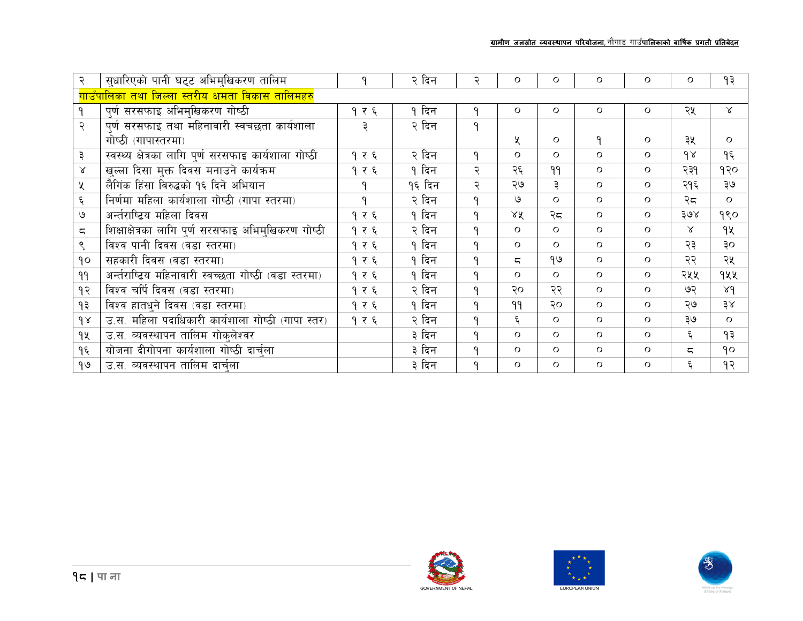|                          | सुधारिएको पानी घट्ट अभिमुखिकरण तालिम                             |       | २ दिन  |   | 0            | $\circ$  | $\circ$ | $\circ$ | O         | १३        |
|--------------------------|------------------------------------------------------------------|-------|--------|---|--------------|----------|---------|---------|-----------|-----------|
|                          | <mark>गाउँपालिका त</mark> था जिल्ला स्तरीय क्षमता विकास तालिमहरु |       |        |   |              |          |         |         |           |           |
|                          | पूर्ण सरसफाइ अभिमुखिकरण गोष्ठी                                   | १ र ६ | १ दिन  | ٩ | $\circ$      | $\circ$  | $\circ$ | $\circ$ | २५        | $\lambda$ |
| २                        | पूर्ण सरसफाइ तथा महिनावारी स्वचछता कार्यशाला                     | ३     | २ दिन  | ٩ |              |          |         |         |           |           |
|                          | गोष्ठी (गापास्तरमा)                                              |       |        |   | ৼ            | $\circ$  | ٩       | $\circ$ | ३५        | $\circ$   |
| ३                        | स्वस्थ्य क्षेत्रका लागि पूर्ण सरसफाइ कार्यशाला गोष्ठी            | १ र ६ | २ दिन  | ٩ | $\circ$      | $\Omega$ | $\circ$ | $\circ$ | 98        | १६        |
| $\propto$                | खुल्ला दिसा मुक्त दिवस मनाउने कार्यक्रम                          | १ र ६ | १ दिन  | ২ | २६           | 99       | $\circ$ | $\circ$ | २३१       | १२०       |
| X                        | लैगिंक हिंसा विरुद्धको १६ दिने अभियान                            | ۹     | १६ दिन | २ | ২७           | ३        | O       | $\circ$ | २१६       | ३७        |
| ६                        | निर्णमा महिला कार्यशाला गोष्ठी (गापा स्तरमा)                     |       | २ दिन  | 9 | ও            | $\circ$  | $\circ$ | $\circ$ | २८        | $\circ$   |
| $\mathsf{G}$             | अर्न्तराष्टिय महिला दिवस                                         |       | १ दिन  | 9 | $X\tilde{X}$ | २८       | O       | $\circ$ | 30x       | 990       |
| $\overline{\phantom{m}}$ | शिक्षाक्षेत्रका लागि पूर्ण सरसफाइ अभिमुखिकरण गोष्ठी              |       | २ दिन  | ٩ | $\circ$      | $\circ$  | O       | $\circ$ | $\lambda$ | 92        |
| ९                        | विश्व पानी दिवस (वडा स्तरमा)                                     | १ र ६ | १ दिन  | ٩ | $\circ$      | $\circ$  | O       | $\circ$ | २३        | ३०        |
| 90                       | सहकारी दिवस (वडा स्तरमा)                                         | १ र ६ | १ दिन  | 9 | ζ            | 99       | O       | $\circ$ | २२        | २५        |
| 99                       | अर्न्तराष्ट्रिय महिनावारी स्वच्छता गोष्ठी (वडा स्तरमा)           | १ र ६ | १ दिन  | ٩ | $\circ$      | $\circ$  | $\circ$ | $\circ$ | २५५       | १५५       |
| १२                       | विश्व चर्पि दिवस (वडा स्तरमा)                                    | १ र ६ | २ दिन  | ٩ | २०           | २२       | O       | $\circ$ | ७२        | 84        |
| १३                       | विश्व हातधने दिवस (वडा स्तरमा)                                   | १ र ६ | १ दिन  | ٩ | 99           | २०       | $\circ$ | $\circ$ | ২७        | 38        |
| 98                       | उ.स. महिला पदाधिकारी कार्यशाला गोष्ठी (गापा स्तर)                | १ र ६ | २ दिन  | 9 | ६            | $\circ$  | O       | $\circ$ | ३७        | $\circ$   |
| 9X                       | उ.स. व्यवस्थापन तालिम गोक्लेश्वर                                 |       | ३ दिन  | ٩ | $\circ$      | $\circ$  | $\circ$ | $\circ$ | ६         | ۹३        |
| ۹६                       | योजना दीगोपना कार्यशाला गोष्ठी दार्चुला                          |       | ३ दिन  | ٩ | $\circ$      | $\circ$  | $\circ$ | $\circ$ | ζ         | 90        |
| 90                       | उ.स. व्यवस्थापन तालिम दार्चला                                    |       | ३ दिन  | ٩ | Ο            | $\circ$  | $\circ$ | $\circ$ | ६         | १२        |





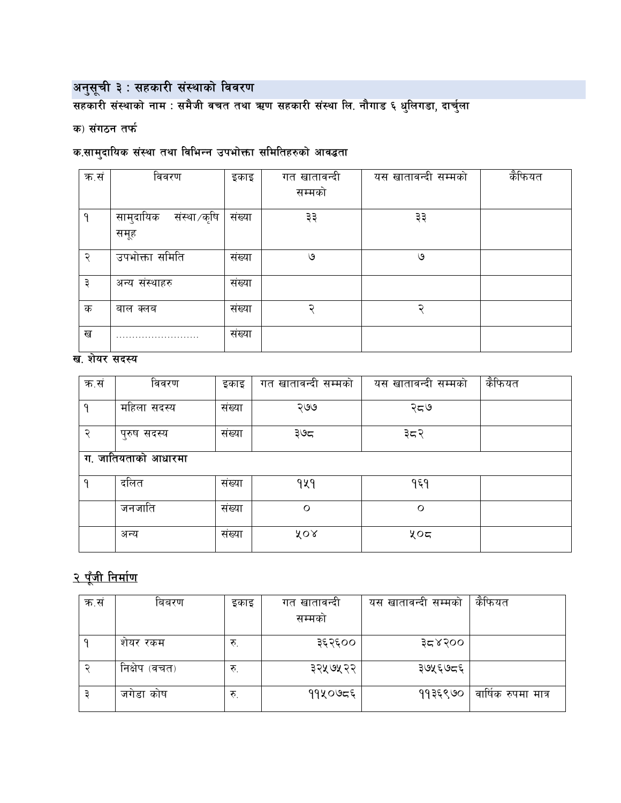अनुसूची ३ : सहकारी संस्थाको विवरण<br>सहकारी संस्थाको नाम : समैजी वचत तथा ऋण सहकारी संस्था लि. नौगाड ६ धुलिगडा, दार्चुला

#### क) संगठन तर्फ

## क.सामुदायिक संस्था तथा विभिन्न उपभोक्ता समितिहरुको आवद्धता

| क.सं | विवरण                    | इकाइ              | गत खातावन्दी | यस खातावन्दी सम्मको | कैफियत |
|------|--------------------------|-------------------|--------------|---------------------|--------|
|      |                          |                   | सम्मको       |                     |        |
| ٩    | सामुदायिक<br>संस्था/कृषि | संख्या            | ३३           | ३३                  |        |
|      | समूह                     |                   |              |                     |        |
| २    | उपभोक्ता समिति           | संख्या            | ও            | ও                   |        |
| ३    | अन्य संस्थाहरु           | $\cdot$<br>संख्या |              |                     |        |
|      |                          |                   |              |                     |        |
| क    | बाल क्लब                 | संख्या            | ิว           | ఫ                   |        |
| ख    | .                        | संख्या            |              |                     |        |
|      |                          | $\cdot$           |              |                     |        |

#### ख. शेयर सदस्य

| क.सं | विवरण               | इकाइ   | गत खातावन्दी सम्मको | यस खातावन्दी सम्मको | कैफियत |
|------|---------------------|--------|---------------------|---------------------|--------|
| q    | महिला सदस्य         | संख्या | २७७                 | २द७                 |        |
| ς    | पुरुष सदस्य         | सख्या  | ३७८                 | ३८२                 |        |
|      | ग. जातियताको आधारमा |        |                     |                     |        |
| q    | दलित                | संख्या | 949                 | १६१                 |        |
|      | जनजाति              | सख्या  | $\circ$             | $\circ$             |        |
|      | अन्य                | संख्या | ४०४                 | ५०८                 |        |

## २ पूँजी निर्माण

| क.स | बिबरण         | इकाइ | गत खातावन्दा | यस खातावन्दा सम्मका | कैफियत              |
|-----|---------------|------|--------------|---------------------|---------------------|
|     |               |      | सम्मका       |                     |                     |
|     | शेयर रकम      | रु.  | ३६२६००       | ३८४२००              |                     |
|     | निक्षेप (वचत) | रु.  | ३२५७५२२      | ३७५६७८६             |                     |
|     | जगडा काष      | रु.  | ११५०७८६      | ११३६९७०             | वार्षिक रुपमा मात्र |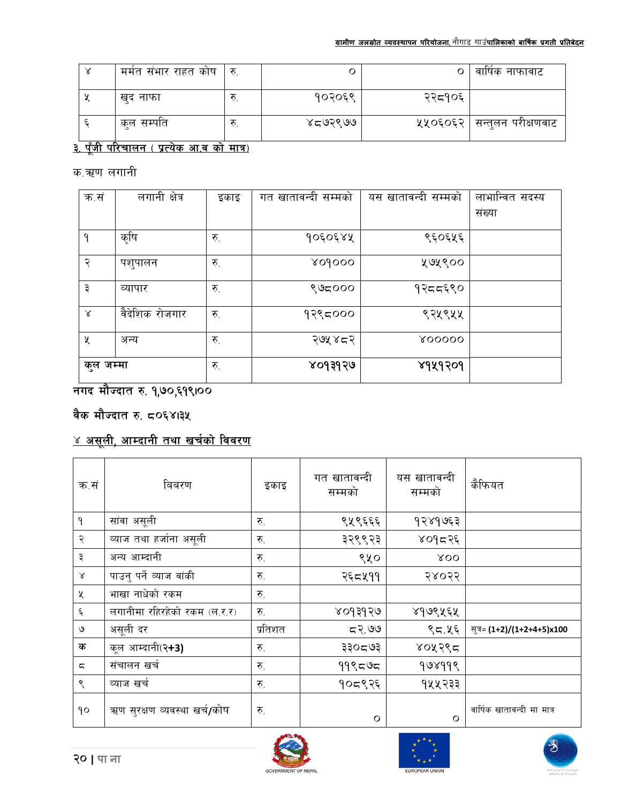





| क.सं      | बिबरण                        | इकाइ    | गत खातावन्दी<br>सम्मको | यस खातावन्दी<br>सम्मको | कैफियत                     |
|-----------|------------------------------|---------|------------------------|------------------------|----------------------------|
| ٩         | सांवा असूली                  | रु.     | ९५९६६६                 | १२४१७६३                |                            |
| २         | व्याज तथा हर्जाना असूली      | रु.     | ३२९९२३                 | ४०१८२६                 |                            |
| ३         | अन्य आम्दानी                 | रु.     | ९५०                    | XOO                    |                            |
| $\propto$ | पाउनु पर्ने व्याज वांकी      | रु.     | २६८५११                 | २४०२२                  |                            |
| χ         | भाखा नाधेको रकम              | रु.     |                        |                        |                            |
| ६         | लगानीमा रहिरहेको रकम (ल.र.र) | रु.     | ४०१३१२७                | ४१७९५६५                |                            |
| ৩         | असूली दर                     | प्रतिशत | 59.99                  | ९८.५६                  | सूत्र= (1+2)/(1+2+4+5)x100 |
| क         | कूल आम्दानी(२ <b>+3)</b>     | रु.     | ३३०८७३                 | ४०५२९८                 |                            |
| ς         | संचालन खर्च                  | रु.     | ११९८७८                 | १७४११९                 |                            |
| ९         | व्याज खर्च                   | रु.     | १०द९२६                 | १५५२३३                 |                            |
| qo        | ऋण सुरक्षण व्यवस्था खर्च/कोष | रु.     | $\circ$                | $\circ$                | वार्षिक खातावन्दी मा मात्र |

# <u>४ असूली, आम्दानी तथा खर्चको विवरण</u>

## वैक मौज्दात रु. ८०६४।३५

## नगद मौज्दात रु. १,७०,६१९100

| क.सं      | लगानी क्षेत्र  | इकाइ | खातावन्दी सम्मको<br>गत | यस खातावन्दी सम्मको | लाभान्वित सदस्य |
|-----------|----------------|------|------------------------|---------------------|-----------------|
|           |                |      |                        |                     | संख्या          |
| ٩         | कृषि           | रु.  | १०६०६४५                | ९६०६५६              |                 |
| २         | पशुपालन        | रु.  | <b>809000</b>          | ५७५९००              |                 |
| ३         | व्यापार        | रु.  | ९७८०००                 | १२दद६९०             |                 |
| Χ         | वैदेशिक रोजगार | रु.  | १२९८०००                | ९२५९५५              |                 |
| χ         | अन्य           | रु.  | २७५४८२                 | 800000              |                 |
| कुल जम्मा |                | रु.  | ४०१३१२७                | ४१५१२०१             |                 |

## क.ऋण लगानी

## <u>३. पूँजी परिचालन ( प्रत्येक आ.व को मात्र)</u>

| मर्मत संभार राहत कोष | ्रु | Ο       |        | वार्षिक नाफावाट              |
|----------------------|-----|---------|--------|------------------------------|
| खद नाफा              |     | १०२०६९  | २२द१०६ |                              |
| कुल सम्पति           |     | ४८७२९७७ |        | ५५०६०६२   सन्तुलन परीक्षणवाट |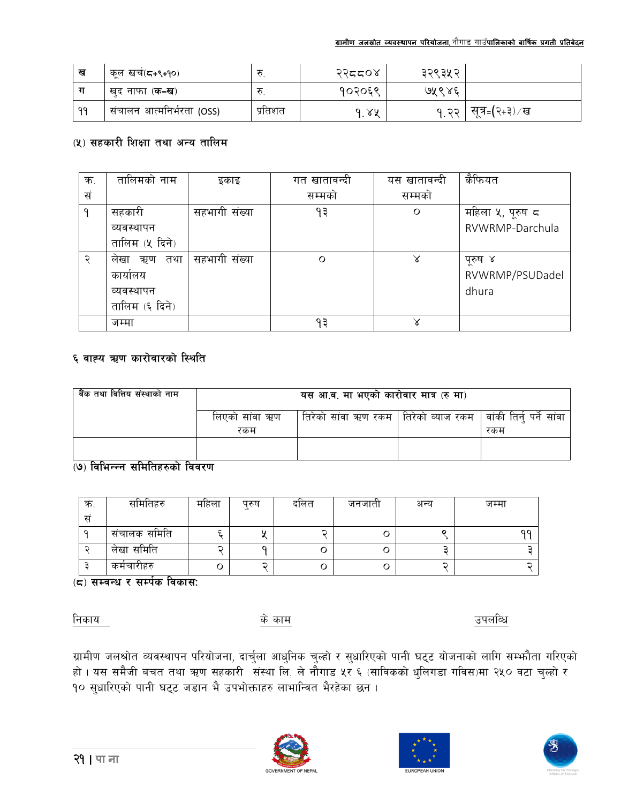| ख         | कूल खर्च(द+९+१०)          |         | २२दद०४ | ३२९३५२ |                 |
|-----------|---------------------------|---------|--------|--------|-----------------|
|           | खद नाफा ( <b>क-ख</b> )    |         | १०२०६९ | ७५९४६  |                 |
| <b>QQ</b> | संचालन आत्मनिर्भरता (OSS) | प्रतिशत | ।. ४४  | 9.33   | सूत्र⊧(२+३) ⁄ ख |

#### (५) सहकारी शिक्षा तथा अन्य तालिम

| क. | तालिमको नाम       | इकाइ          | गत खातावन्दी | यस खातावन्दी | कैफियत           |
|----|-------------------|---------------|--------------|--------------|------------------|
| सं |                   |               | सम्मको       | सम्मको       |                  |
| ٩  | सहकारी            | सहभागी संख्या | १३           | O            | महिला ५, पूरुष ८ |
|    | व्यवस्थापन        |               |              |              | RVWRMP-Darchula  |
|    | तालिम (५ दिने)    |               |              |              |                  |
| ς  | तथा<br>लेखा<br>ऋण | सहभागी संख्या | O            | $\times$     | पूरुष ४          |
|    | कायालय            |               |              |              | RVWRMP/PSUDadel  |
|    | व्यवस्थापन        |               |              |              | dhura            |
|    | तालिम (६ दिने)    |               |              |              |                  |
|    | जम्मा             |               | ۹३           | γ            |                  |

#### ६ वाह्य ऋण कारोवारको स्थिति

| वैंक तथा वित्तिय संस्थाको नाम | यस आ.व. मा भएको कारोवार मात्र (रु मा) |                                                                   |  |     |  |
|-------------------------------|---------------------------------------|-------------------------------------------------------------------|--|-----|--|
|                               | लिएको सांवा ऋण                        | तिरेको सांवा ऋण रकम   तिरेको व्याज रकम   वांकी तिर्नु पर्ने सांवा |  |     |  |
|                               | रकम                                   |                                                                   |  | रकम |  |
|                               |                                       |                                                                   |  |     |  |

#### (७) विभिन्न्न समितिहरुको विवरण

| क. | समितिहरु     | महिला | परुष | दोलत | जनजाता | अन्य | जम्मा |
|----|--------------|-------|------|------|--------|------|-------|
| स  |              |       |      |      |        |      |       |
|    | संचालक समिति |       |      |      | U      |      | ۵Q    |
|    | लेखा समिति   |       |      |      | U      |      |       |
|    | कर्मचारीहरु  |       | ∽    | ◡    | U      |      |       |

(८) सम्बन्ध र सर्म्पक विकास:

निकाय

के काम

उपलब्धि

ग्रामीण जलश्रोत व्यवस्थापन परियोजना, दार्चुला आधुनिक चुल्हो र सुधारिएको पानी घट्ट योजनाको लागि सम्फौता गरिएको हो । यस समैजी बचत तथा ऋण सहकारी संस्था लि. ले नौगाड ५र ६ (साविकको धुलिगडा गविस)मा २५० वटा चुल्हो र<br>१० सुधारिएको पानी घट्ट जडान भै उपभोक्ताहरु लाभान्वित भैरहेका छन ।





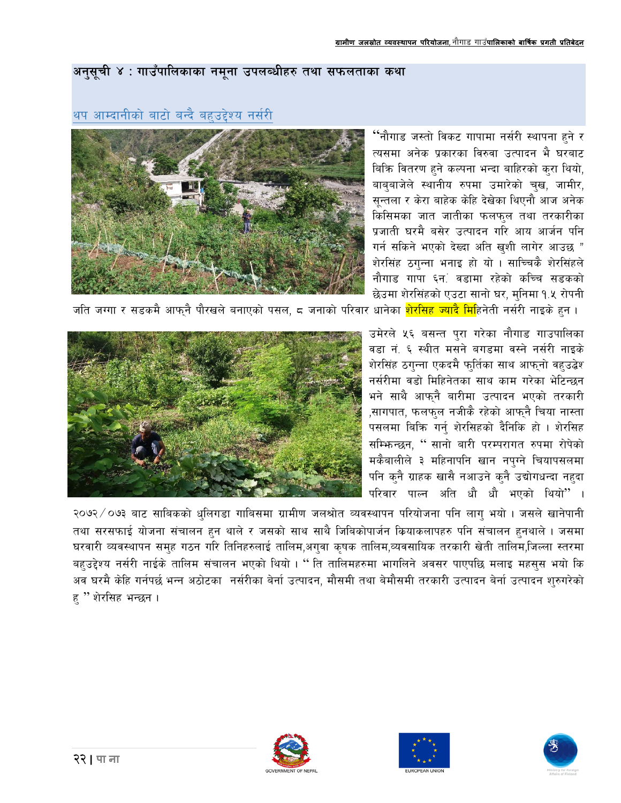#### अनुसूची ४ : गाउँपालिकाका नमुना उपलब्धीहरु तथा सफलताका कथा

<sup>''</sup>नौगाड जस्तो विकट गापामा नर्सरी स्थापना हने र त्यसमा अनेक प्रकारका विरुवा उत्पादन भै घरबाट बिक्रि वितरण हुने कल्पना भन्दा बाहिरको कुरा थियो, बाब्बाजेले स्थानीय रुपमा उमारेको चुख, जामीर, सून्तला र केरा बाहेक केहि देखेका थिएनौ आज अनेक .<br>किसिमका जात जातीका फलफ्ल तथा तरकारीका प्रजाती घरमै बसेर उत्पादन गरि आय आर्जन पनि गर्न सकिने भएको देख्दा अति खुशी लागेर आउछ " शेरसिंह ठगुन्ना भनाइ हो यो । साच्चिकै शेरसिंहले नौगाड गापा ६न. वडामा रहेको कच्चि सडकको छेउमा शेरसिंहको एउटा सानो घर, मुनिमा १.५ रोपनी



थप आम्दानीको बाटो बन्दै बहुउद्देश्य नर्सरी

जति जग्गा र सडकमै आफ्नै पौरखले बनाएको पसल, ८ जनाको परिवार धानेका <mark>शेरसिह ज्यादै मि</mark>हिनेती नर्सरी नाइके हुन ।

उमेरले ५६ बसन्त पुरा गरेका नौगाड गाउपालिका वडा नं. ६ स्थीत मसने बगडमा वस्ने नर्सरी नाइके शेरसिंह ठगुन्ना एकदमै फुर्तिका साथ आफुनो वहुउद्वेश नर्सरीमा वडो मिहिनेतका साथ काम गरेका भेटिन्छन भने साथै आफनै बारीमा उत्पादन भएको तरकारी ,सागपात, फलफुल नजीकै रहेको आफ्नै चिया नास्ता पसलमा बिक्रि गर्नु शेरसिहको दैनिकि हो । शेरसिह सम्फिन्छन, " सानो बारी परम्परागत रुपमा रोपेको मकैबालीले ३ महिनापनि खान नपुग्ने चियापसलमा पनि क्नै ग्राहक खासै नआउने क्नै उद्योगधन्दा नहदा परिवार पाल्न अति धौ धौ भएको थियो"।



२०७२ ⁄ ०७३ बाट साबिकको धुलिगडा गाबिसमा ग्रामीण जलश्रोत व्यवस्थापन परियोजना पनि लागु भयो । जसले खानेपानी तथा सरसफाई योजना संचालन हुन थाले र जसको साथ साथै जिबिकोपार्जन कियाकलापहरु पनि संचालन हुनथाले । जसमा घरवारी व्यवस्थापन समुह गठन गरि तिनिहरुलाई तालिम,अगुवा कृषक तालिम,व्यवसायिक तरकारी खेती तालिम,जिल्ला स्तरमा बहुउद्देश्य नर्सरी नाईके तालिम संचालन भएको थियो । " ति तालिमहरुमा भागलिने अवसर पाएपछि मलाइ महसुस भयो कि अव घरमै केहि गर्नपर्छ भन्न अठोटका नर्सरीका बेर्ना उत्पादन, मौसमी तथा बेमौसमी तरकारी उत्पादन बेर्ना उत्पादन शुरुगरेको ह "शेरसिह भन्छन ।





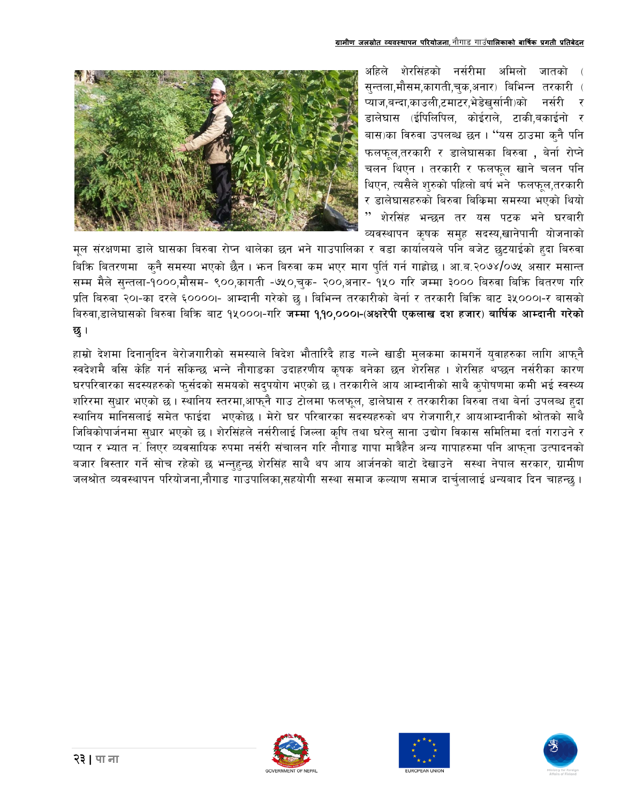अहिले शेरसिंहको नर्सरीमा अमिलो जातको सुन्तला,मौसम,कागती,चुक,अनार) बिभिन्न तरकारी ( .<br>प्याज,बन्दा,काउली,टमाटर,भेडेखर्सानी)को नर्सरी र डालेघास (ईपिलिपिल, कोईराले, टाकी,बकाईनो र बास)का विरुवा उपलब्ध छन। "यस ठाउमा क्नै पनि फलफुल,तरकारी र डालेघासका बिरुवा , बेर्ना रोप्ने चलन थिएन । तरकारी र फलफुल खाने चलन पनि थिएन, त्यसैले शुरुको पहिलो बर्ष भने फलफूल,तरकारी र डालेघासहरुको बिरुवा बिकिमा समस्या भएको थियो शेरसिंह भन्छन तर यस पटक भने घरबारी व्यवस्थापन कृषक सम्ह सदस्य,खानेपानी योजनाको



मूल संरक्षणमा डाले घासका बिरुवा रोप्न थालेका छन भने गाउपालिका र वडा कार्यालयले पाने बजेट छटयाईको हदा बिरुवा बिकि बितरणमा कनै समस्या भएको छैन । भन्न बिरुवा कम भएर माग पुर्ति गर्न गाह्रोछ । आ.ब.२०७४/०७५ असार मसान्त सम्म मैले सुन्तला-१०००,मौसम- ९००,कागती -७५०,चुक- २००,अनार- १५० गरि जम्मा ३००० बिरुवा बिक्रि बितरण गरि प्रति बिरुवा २०।-का दरले ६००००।- आम्दानी गरेको छ । बिभिन्न तरकारीको बेर्ना र तरकारी बिक्रि बाट ३५०००।-र बासको बिरुवा.डालेघासको बिरुवा बिक्रि बाट १५०००।-गरि जम्मा १,१०,०००।-(अक्षरेपी एकलाख दश हजार) बार्षिक आम्दानी गरेको छ।

हाम्रो देशमा दिनानुदिन बेरोजगारीको समस्याले विदेश भौतारिदै हाड गल्ने खाडी मुलकमा कामगर्ने युवाहरुका लागि आफुनै स्वदेशमै वसि केहि गर्न सकिन्छ भन्ने नौगाडका उदाहरणीय कृषक बनेका छन शेरसिह । शेरसिह थप्छन नर्सरीका कारण घरपरिवारका सदस्यहरुको फुर्सदको समयको सदुपयोग भएको छ। तरकारीले आय आम्दानीको साथै कुपोषणमा कमी भई स्वस्थ्य शरिरमा सुधार भएको छ । स्थानिय स्तरमा,आफ्नै गाउ टोलमा फलफूल, डालेघास र तरकारीका बिरुवा तथा बेर्ना उपलब्ध हुदा स्थानिय मानिसलाई समेत फाईदा भएकोछ। मेरो घर परिवारका सदस्यहरुको थप रोजगारी,र आयआम्दानीको श्रोतको साथै जिबिकोपार्जनमा सुधार भएको छ। शेरसिंहले नर्सरीलाई जिल्ला कृषि तथा घरेलु साना उद्योग विकास समितिमा दर्ता गराउने र प्यान र भ्यात नूं लिएर व्यवसायिक रुपमा नर्सरी संचालन गरि नौगाडु गापा मात्रैहैन अन्य गापाहरुमा पनि आफना उत्पादनको बजार विस्तार गर्ने सोच रहेको छ भन्नहुन्छ शेरसिंह साथै थप आय आर्जनको बाटो देखाउने सस्था नेपाल सरकार, ग्रामीण जलश्रोत व्यवस्थापन परियोजना,नौगाड गाउपालिका,सहयोगी सस्था समाज कल्याण समाज दार्चुलालाई धन्यबाद दिन चाहन्छ ।





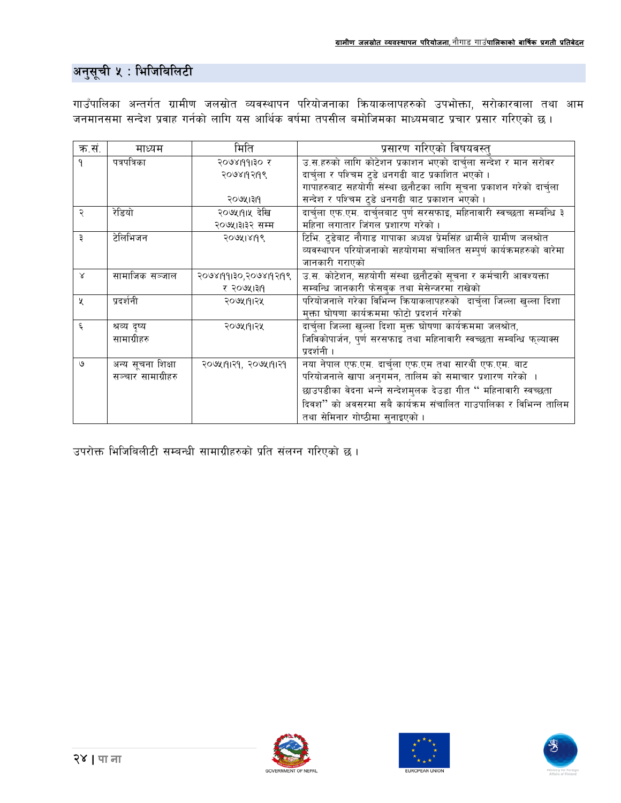## अनुसूची ५ : भिजिबिलिटी

गाउँपालिका अन्तर्गत ग्रामीण जलस्रोत व्यवस्थापन परियोजनाका क्रियाकलापहरुको उपभोक्ता, सरोकारवाला तथा आम जनमानसमा सन्देश प्रवाह गर्नको लागि यस आर्थिक वर्षमा तपसील बमोजिमका माध्यमबाट प्रचार प्रसार गरिएको छ ।

| क.सं.        | माध्यम                      | मिति                  | प्रसारण गरिएको विषयवस्त्                                               |  |
|--------------|-----------------------------|-----------------------|------------------------------------------------------------------------|--|
| ۹            | पत्रपत्रिका<br>२०७४।१११३० र |                       | उ.स.हरुको लागि कोटेशन प्रकाशन भएको दार्चुला सन्देश र मान सरोवर         |  |
|              |                             | २०७४19२19९            | दार्चुला र पश्चिम टुडे धनगढी बाट प्रकाशित भएको ।                       |  |
|              |                             |                       | गापाहरुबाट सहयोगी संस्था छनौटका लागि सूचना प्रकाशन गरेको दार्चुला      |  |
|              |                             | २०७५।३११              | सन्देश र पश्चिम ट्डे धनगढी बाट प्रकाशन भएको ।                          |  |
| २            | रेडियो                      | २०७५।१।५ देखि         | दार्चुला एफ.एम. दार्चुलबाट पूर्ण सरसफाइ, महिनावारी स्वच्छता सम्बन्धि ३ |  |
|              |                             | २०७५।३१२ सम्म         | महिना लगातार जिंगल प्रशारण गरेको ।                                     |  |
| ₹            | टेलिभिजन                    | २०७५1४19९             | टिभि. टुडेबाट नौगाड गापाका अध्यक्ष प्रेमसिंह धामीले ग्रामीण जलश्रोत    |  |
|              |                             |                       | व्यवस्थापन परियोजनाको सहयोगमा संचालित सम्पूर्ण कार्यक्रमहरुको वारेमा   |  |
|              |                             |                       | जानकारी गराएको                                                         |  |
| $\mathsf{x}$ | सामाजिक सञ्जाल              | २०७४।११।३०,२०७४।१२।१९ | उ.स. कोटेशन, सहयोगी संस्था छनौटको सूचना र कर्मचारी आवश्यक्ता           |  |
|              |                             | र २०७५।३११            | सम्बन्धि जानकारी फेसबुक तथा मेसेन्जरमा राखेको                          |  |
| X            | प्रदर्शनी                   | २०७५।१।२५             | परियोजनाले गरेका विभिन्न कियाकलापहरुको दार्चुला जिल्ला खुल्ला दिशा     |  |
|              |                             |                       | मुक्ता घोषणा कार्यक्रममा फोटो प्रदशर्न गरेको                           |  |
| ६            | श्रव्य दृष्य                | २०७५।१।२५             | दार्चुला जिल्ला खुल्ला दिशा मुक्त घोषणा कार्यक्रममा जलश्रोत,           |  |
|              | सामाग्रीहरु                 |                       | जिविकोपार्जन, पुर्ण सरसफाइ तथा महिनावारी स्वच्छता सम्बन्धि फुल्याक्स   |  |
|              |                             |                       | प्रदर्शनी ।                                                            |  |
| ৩            | अन्य सूचना शिक्षा           | २०७५१११२१, २०७५१११२१  | नया नेपाल एफ.एम. दार्चुला एफ.एम तथा सारथी एफ.एम. बाट                   |  |
|              | सञ्चार सामाग्रीहरु          |                       | परियोजनाले खापा अनुगमन, तालिम को समाचार प्रशारण गरेको ।                |  |
|              |                             |                       | छाउपडीका वेदना भन्ने सन्देशमुलक देउडा गीत " महिनावारी स्वच्छता         |  |
|              |                             |                       | दिवश'' को अवसरमा सबै कार्यक्रम संचालित गाउपालिका र विभिन्न तालिम       |  |
|              |                             |                       | तथा सेमिनार गोष्ठीमा सुनाइएको ।                                        |  |

उपरोक्त भिजिबिलीटी सम्बन्धी सामाग्रीहरुको प्रति संलग्न गरिएको छ।